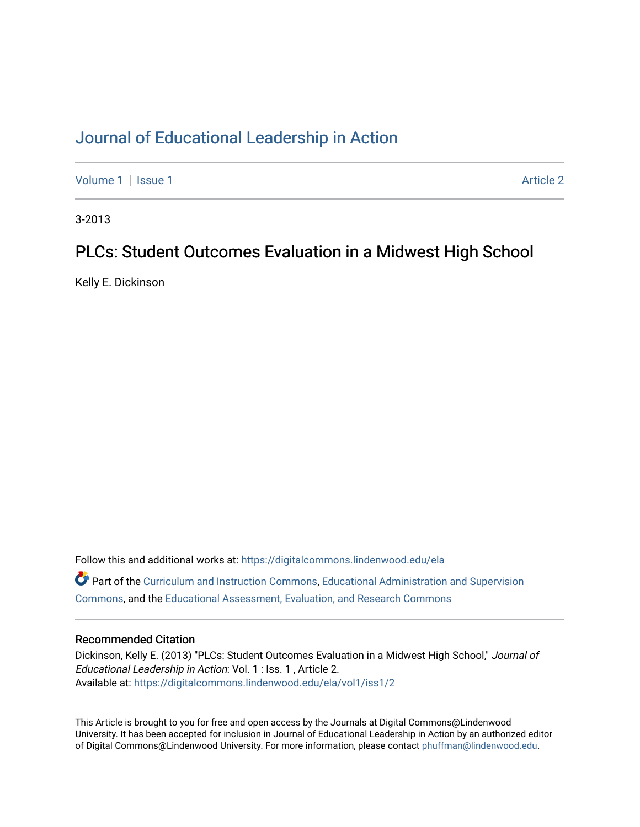### [Journal of Educational Leadership in Action](https://digitalcommons.lindenwood.edu/ela)

[Volume 1](https://digitalcommons.lindenwood.edu/ela/vol1) | [Issue 1](https://digitalcommons.lindenwood.edu/ela/vol1/iss1) Article 2

3-2013

### PLCs: Student Outcomes Evaluation in a Midwest High School

Kelly E. Dickinson

Follow this and additional works at: [https://digitalcommons.lindenwood.edu/ela](https://digitalcommons.lindenwood.edu/ela?utm_source=digitalcommons.lindenwood.edu%2Fela%2Fvol1%2Fiss1%2F2&utm_medium=PDF&utm_campaign=PDFCoverPages)  Part of the [Curriculum and Instruction Commons,](http://network.bepress.com/hgg/discipline/786?utm_source=digitalcommons.lindenwood.edu%2Fela%2Fvol1%2Fiss1%2F2&utm_medium=PDF&utm_campaign=PDFCoverPages) [Educational Administration and Supervision](http://network.bepress.com/hgg/discipline/787?utm_source=digitalcommons.lindenwood.edu%2Fela%2Fvol1%2Fiss1%2F2&utm_medium=PDF&utm_campaign=PDFCoverPages)  [Commons](http://network.bepress.com/hgg/discipline/787?utm_source=digitalcommons.lindenwood.edu%2Fela%2Fvol1%2Fiss1%2F2&utm_medium=PDF&utm_campaign=PDFCoverPages), and the [Educational Assessment, Evaluation, and Research Commons](http://network.bepress.com/hgg/discipline/796?utm_source=digitalcommons.lindenwood.edu%2Fela%2Fvol1%2Fiss1%2F2&utm_medium=PDF&utm_campaign=PDFCoverPages)

#### Recommended Citation

Dickinson, Kelly E. (2013) "PLCs: Student Outcomes Evaluation in a Midwest High School," Journal of Educational Leadership in Action: Vol. 1 : Iss. 1 , Article 2. Available at: [https://digitalcommons.lindenwood.edu/ela/vol1/iss1/2](https://digitalcommons.lindenwood.edu/ela/vol1/iss1/2?utm_source=digitalcommons.lindenwood.edu%2Fela%2Fvol1%2Fiss1%2F2&utm_medium=PDF&utm_campaign=PDFCoverPages) 

This Article is brought to you for free and open access by the Journals at Digital Commons@Lindenwood University. It has been accepted for inclusion in Journal of Educational Leadership in Action by an authorized editor of Digital Commons@Lindenwood University. For more information, please contact [phuffman@lindenwood.edu](mailto:phuffman@lindenwood.edu).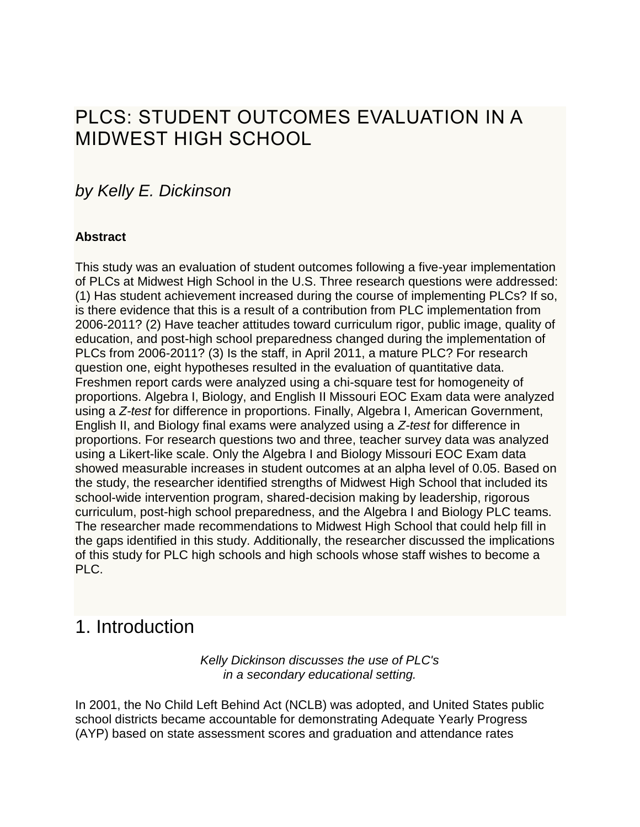# PLCS: STUDENT OUTCOMES EVALUATION IN A MIDWEST HIGH SCHOOL

## *by Kelly E. Dickinson*

### **Abstract**

This study was an evaluation of student outcomes following a five-year implementation of PLCs at Midwest High School in the U.S. Three research questions were addressed: (1) Has student achievement increased during the course of implementing PLCs? If so, is there evidence that this is a result of a contribution from PLC implementation from 2006-2011? (2) Have teacher attitudes toward curriculum rigor, public image, quality of education, and post-high school preparedness changed during the implementation of PLCs from 2006-2011? (3) Is the staff, in April 2011, a mature PLC? For research question one, eight hypotheses resulted in the evaluation of quantitative data. Freshmen report cards were analyzed using a chi-square test for homogeneity of proportions. Algebra I, Biology, and English II Missouri EOC Exam data were analyzed using a *Z-test* for difference in proportions. Finally, Algebra I, American Government, English II, and Biology final exams were analyzed using a *Z-test* for difference in proportions. For research questions two and three, teacher survey data was analyzed using a Likert-like scale. Only the Algebra I and Biology Missouri EOC Exam data showed measurable increases in student outcomes at an alpha level of 0.05. Based on the study, the researcher identified strengths of Midwest High School that included its school-wide intervention program, shared-decision making by leadership, rigorous curriculum, post-high school preparedness, and the Algebra I and Biology PLC teams. The researcher made recommendations to Midwest High School that could help fill in the gaps identified in this study. Additionally, the researcher discussed the implications of this study for PLC high schools and high schools whose staff wishes to become a PLC.

## 1. Introduction

*Kelly Dickinson discusses the use of PLC's in a secondary educational setting.*

In 2001, the No Child Left Behind Act (NCLB) was adopted, and United States public school districts became accountable for demonstrating Adequate Yearly Progress (AYP) based on state assessment scores and graduation and attendance rates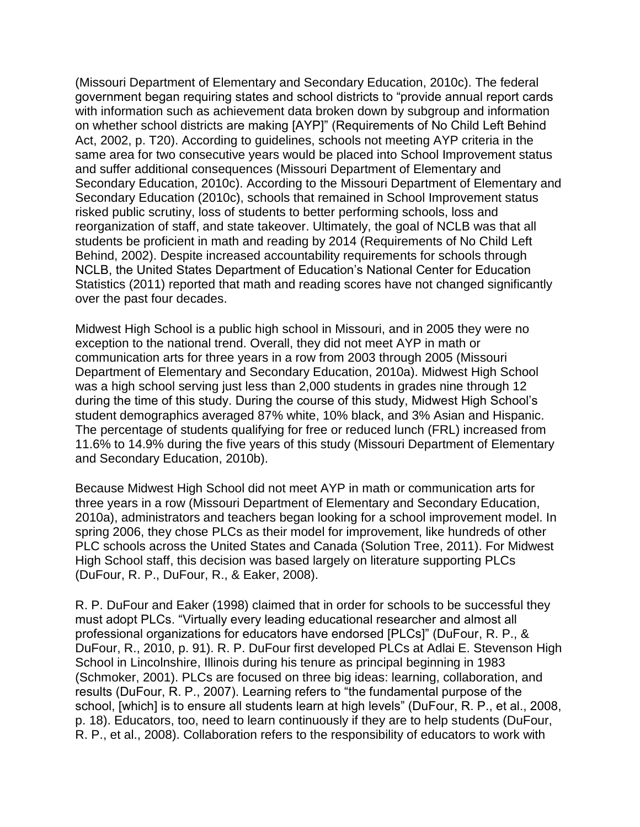(Missouri Department of Elementary and Secondary Education, 2010c). The federal government began requiring states and school districts to "provide annual report cards with information such as achievement data broken down by subgroup and information on whether school districts are making [AYP]" (Requirements of No Child Left Behind Act, 2002, p. T20). According to guidelines, schools not meeting AYP criteria in the same area for two consecutive years would be placed into School Improvement status and suffer additional consequences (Missouri Department of Elementary and Secondary Education, 2010c). According to the Missouri Department of Elementary and Secondary Education (2010c), schools that remained in School Improvement status risked public scrutiny, loss of students to better performing schools, loss and reorganization of staff, and state takeover. Ultimately, the goal of NCLB was that all students be proficient in math and reading by 2014 (Requirements of No Child Left Behind, 2002). Despite increased accountability requirements for schools through NCLB, the United States Department of Education's National Center for Education Statistics (2011) reported that math and reading scores have not changed significantly over the past four decades.

Midwest High School is a public high school in Missouri, and in 2005 they were no exception to the national trend. Overall, they did not meet AYP in math or communication arts for three years in a row from 2003 through 2005 (Missouri Department of Elementary and Secondary Education, 2010a). Midwest High School was a high school serving just less than 2,000 students in grades nine through 12 during the time of this study. During the course of this study, Midwest High School's student demographics averaged 87% white, 10% black, and 3% Asian and Hispanic. The percentage of students qualifying for free or reduced lunch (FRL) increased from 11.6% to 14.9% during the five years of this study (Missouri Department of Elementary and Secondary Education, 2010b).

Because Midwest High School did not meet AYP in math or communication arts for three years in a row (Missouri Department of Elementary and Secondary Education, 2010a), administrators and teachers began looking for a school improvement model. In spring 2006, they chose PLCs as their model for improvement, like hundreds of other PLC schools across the United States and Canada (Solution Tree, 2011). For Midwest High School staff, this decision was based largely on literature supporting PLCs (DuFour, R. P., DuFour, R., & Eaker, 2008).

R. P. DuFour and Eaker (1998) claimed that in order for schools to be successful they must adopt PLCs. "Virtually every leading educational researcher and almost all professional organizations for educators have endorsed [PLCs]" (DuFour, R. P., & DuFour, R., 2010, p. 91). R. P. DuFour first developed PLCs at Adlai E. Stevenson High School in Lincolnshire, Illinois during his tenure as principal beginning in 1983 (Schmoker, 2001). PLCs are focused on three big ideas: learning, collaboration, and results (DuFour, R. P., 2007). Learning refers to "the fundamental purpose of the school, [which] is to ensure all students learn at high levels" (DuFour, R. P., et al., 2008, p. 18). Educators, too, need to learn continuously if they are to help students (DuFour, R. P., et al., 2008). Collaboration refers to the responsibility of educators to work with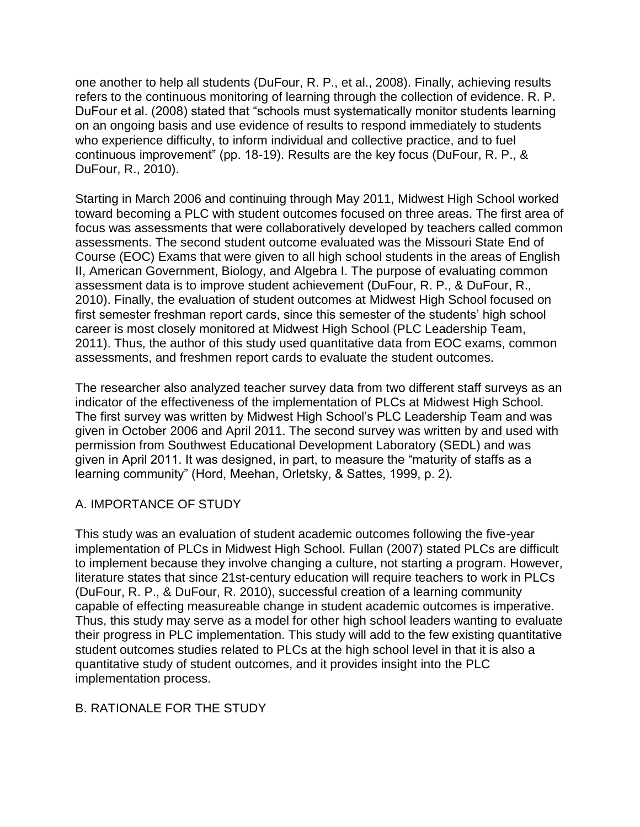one another to help all students (DuFour, R. P., et al., 2008). Finally, achieving results refers to the continuous monitoring of learning through the collection of evidence. R. P. DuFour et al. (2008) stated that "schools must systematically monitor students learning on an ongoing basis and use evidence of results to respond immediately to students who experience difficulty, to inform individual and collective practice, and to fuel continuous improvement" (pp. 18-19). Results are the key focus (DuFour, R. P., & DuFour, R., 2010).

Starting in March 2006 and continuing through May 2011, Midwest High School worked toward becoming a PLC with student outcomes focused on three areas. The first area of focus was assessments that were collaboratively developed by teachers called common assessments. The second student outcome evaluated was the Missouri State End of Course (EOC) Exams that were given to all high school students in the areas of English II, American Government, Biology, and Algebra I. The purpose of evaluating common assessment data is to improve student achievement (DuFour, R. P., & DuFour, R., 2010). Finally, the evaluation of student outcomes at Midwest High School focused on first semester freshman report cards, since this semester of the students' high school career is most closely monitored at Midwest High School (PLC Leadership Team, 2011). Thus, the author of this study used quantitative data from EOC exams, common assessments, and freshmen report cards to evaluate the student outcomes.

The researcher also analyzed teacher survey data from two different staff surveys as an indicator of the effectiveness of the implementation of PLCs at Midwest High School. The first survey was written by Midwest High School's PLC Leadership Team and was given in October 2006 and April 2011. The second survey was written by and used with permission from Southwest Educational Development Laboratory (SEDL) and was given in April 2011. It was designed, in part, to measure the "maturity of staffs as a learning community" (Hord, Meehan, Orletsky, & Sattes, 1999, p. 2).

#### A. IMPORTANCE OF STUDY

This study was an evaluation of student academic outcomes following the five-year implementation of PLCs in Midwest High School. Fullan (2007) stated PLCs are difficult to implement because they involve changing a culture, not starting a program. However, literature states that since 21st-century education will require teachers to work in PLCs (DuFour, R. P., & DuFour, R. 2010), successful creation of a learning community capable of effecting measureable change in student academic outcomes is imperative. Thus, this study may serve as a model for other high school leaders wanting to evaluate their progress in PLC implementation. This study will add to the few existing quantitative student outcomes studies related to PLCs at the high school level in that it is also a quantitative study of student outcomes, and it provides insight into the PLC implementation process.

#### B. RATIONALE FOR THE STUDY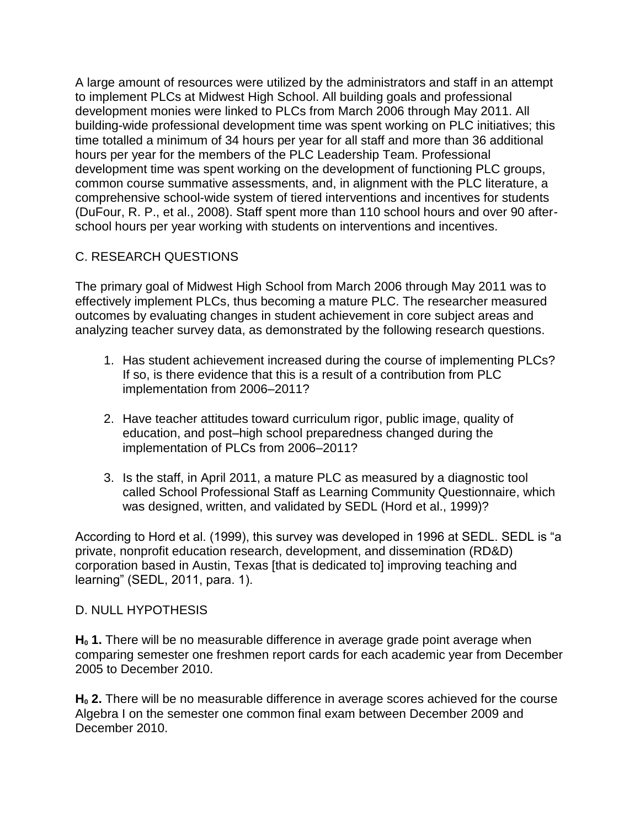A large amount of resources were utilized by the administrators and staff in an attempt to implement PLCs at Midwest High School. All building goals and professional development monies were linked to PLCs from March 2006 through May 2011. All building-wide professional development time was spent working on PLC initiatives; this time totalled a minimum of 34 hours per year for all staff and more than 36 additional hours per year for the members of the PLC Leadership Team. Professional development time was spent working on the development of functioning PLC groups, common course summative assessments, and, in alignment with the PLC literature, a comprehensive school-wide system of tiered interventions and incentives for students (DuFour, R. P., et al., 2008). Staff spent more than 110 school hours and over 90 afterschool hours per year working with students on interventions and incentives.

### C. RESEARCH QUESTIONS

The primary goal of Midwest High School from March 2006 through May 2011 was to effectively implement PLCs, thus becoming a mature PLC. The researcher measured outcomes by evaluating changes in student achievement in core subject areas and analyzing teacher survey data, as demonstrated by the following research questions.

- 1. Has student achievement increased during the course of implementing PLCs? If so, is there evidence that this is a result of a contribution from PLC implementation from 2006–2011?
- 2. Have teacher attitudes toward curriculum rigor, public image, quality of education, and post–high school preparedness changed during the implementation of PLCs from 2006–2011?
- 3. Is the staff, in April 2011, a mature PLC as measured by a diagnostic tool called School Professional Staff as Learning Community Questionnaire, which was designed, written, and validated by SEDL (Hord et al., 1999)?

According to Hord et al. (1999), this survey was developed in 1996 at SEDL. SEDL is "a private, nonprofit education research, development, and dissemination (RD&D) corporation based in Austin, Texas [that is dedicated to] improving teaching and learning" (SEDL, 2011, para. 1).

#### D. NULL HYPOTHESIS

**H<sup>0</sup> 1.** There will be no measurable difference in average grade point average when comparing semester one freshmen report cards for each academic year from December 2005 to December 2010.

**H<sup>0</sup> 2.** There will be no measurable difference in average scores achieved for the course Algebra I on the semester one common final exam between December 2009 and December 2010.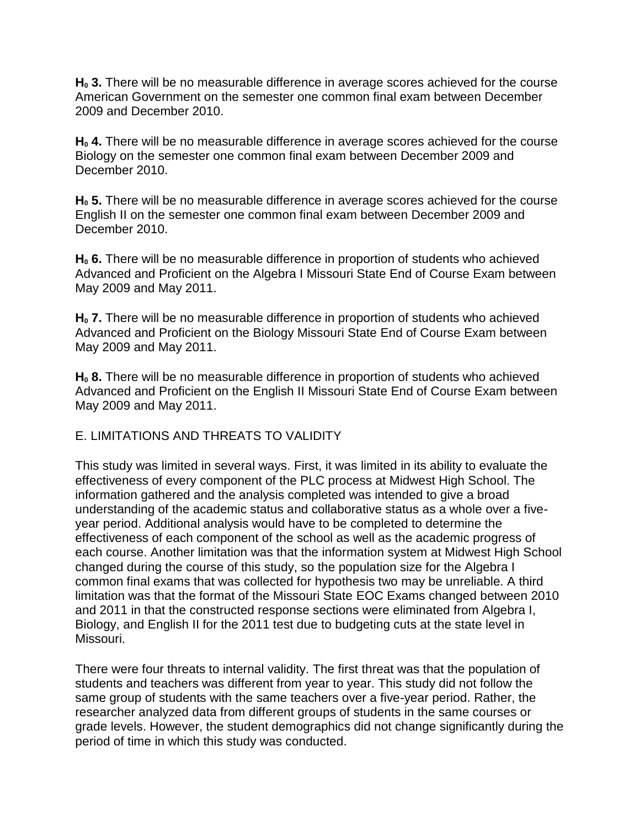**H<sup>0</sup> 3.** There will be no measurable difference in average scores achieved for the course American Government on the semester one common final exam between December 2009 and December 2010.

**H<sup>0</sup> 4.** There will be no measurable difference in average scores achieved for the course Biology on the semester one common final exam between December 2009 and December 2010.

**H<sup>0</sup> 5.** There will be no measurable difference in average scores achieved for the course English II on the semester one common final exam between December 2009 and December 2010.

**H<sup>0</sup> 6.** There will be no measurable difference in proportion of students who achieved Advanced and Proficient on the Algebra I Missouri State End of Course Exam between May 2009 and May 2011.

**H<sup>0</sup> 7.** There will be no measurable difference in proportion of students who achieved Advanced and Proficient on the Biology Missouri State End of Course Exam between May 2009 and May 2011.

**H<sup>0</sup> 8.** There will be no measurable difference in proportion of students who achieved Advanced and Proficient on the English II Missouri State End of Course Exam between May 2009 and May 2011.

#### E. LIMITATIONS AND THREATS TO VALIDITY

This study was limited in several ways. First, it was limited in its ability to evaluate the effectiveness of every component of the PLC process at Midwest High School. The information gathered and the analysis completed was intended to give a broad understanding of the academic status and collaborative status as a whole over a fiveyear period. Additional analysis would have to be completed to determine the effectiveness of each component of the school as well as the academic progress of each course. Another limitation was that the information system at Midwest High School changed during the course of this study, so the population size for the Algebra I common final exams that was collected for hypothesis two may be unreliable. A third limitation was that the format of the Missouri State EOC Exams changed between 2010 and 2011 in that the constructed response sections were eliminated from Algebra I, Biology, and English II for the 2011 test due to budgeting cuts at the state level in Missouri.

There were four threats to internal validity. The first threat was that the population of students and teachers was different from year to year. This study did not follow the same group of students with the same teachers over a five-year period. Rather, the researcher analyzed data from different groups of students in the same courses or grade levels. However, the student demographics did not change significantly during the period of time in which this study was conducted.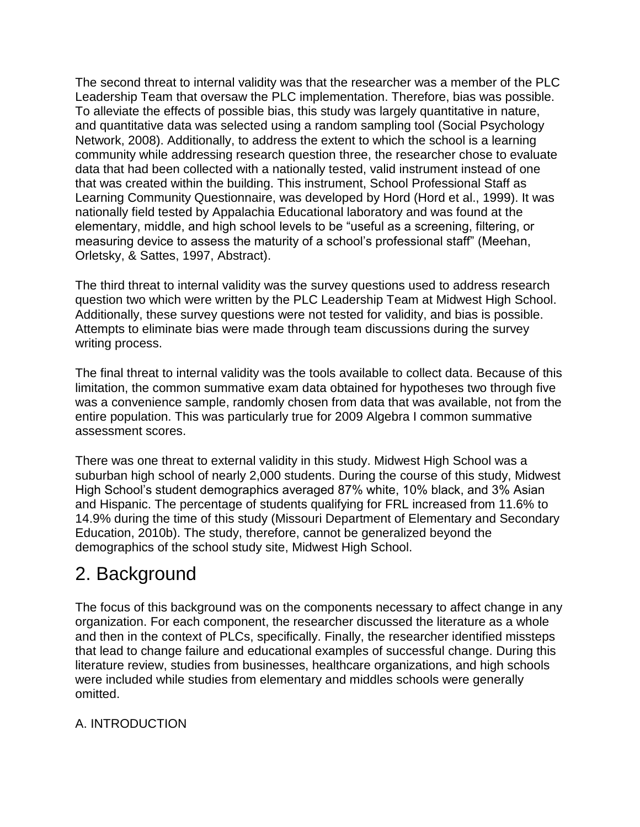The second threat to internal validity was that the researcher was a member of the PLC Leadership Team that oversaw the PLC implementation. Therefore, bias was possible. To alleviate the effects of possible bias, this study was largely quantitative in nature, and quantitative data was selected using a random sampling tool (Social Psychology Network, 2008). Additionally, to address the extent to which the school is a learning community while addressing research question three, the researcher chose to evaluate data that had been collected with a nationally tested, valid instrument instead of one that was created within the building. This instrument, School Professional Staff as Learning Community Questionnaire, was developed by Hord (Hord et al., 1999). It was nationally field tested by Appalachia Educational laboratory and was found at the elementary, middle, and high school levels to be "useful as a screening, filtering, or measuring device to assess the maturity of a school's professional staff" (Meehan, Orletsky, & Sattes, 1997, Abstract).

The third threat to internal validity was the survey questions used to address research question two which were written by the PLC Leadership Team at Midwest High School. Additionally, these survey questions were not tested for validity, and bias is possible. Attempts to eliminate bias were made through team discussions during the survey writing process.

The final threat to internal validity was the tools available to collect data. Because of this limitation, the common summative exam data obtained for hypotheses two through five was a convenience sample, randomly chosen from data that was available, not from the entire population. This was particularly true for 2009 Algebra I common summative assessment scores.

There was one threat to external validity in this study. Midwest High School was a suburban high school of nearly 2,000 students. During the course of this study, Midwest High School's student demographics averaged 87% white, 10% black, and 3% Asian and Hispanic. The percentage of students qualifying for FRL increased from 11.6% to 14.9% during the time of this study (Missouri Department of Elementary and Secondary Education, 2010b). The study, therefore, cannot be generalized beyond the demographics of the school study site, Midwest High School.

# 2. Background

The focus of this background was on the components necessary to affect change in any organization. For each component, the researcher discussed the literature as a whole and then in the context of PLCs, specifically. Finally, the researcher identified missteps that lead to change failure and educational examples of successful change. During this literature review, studies from businesses, healthcare organizations, and high schools were included while studies from elementary and middles schools were generally omitted.

### A. INTRODUCTION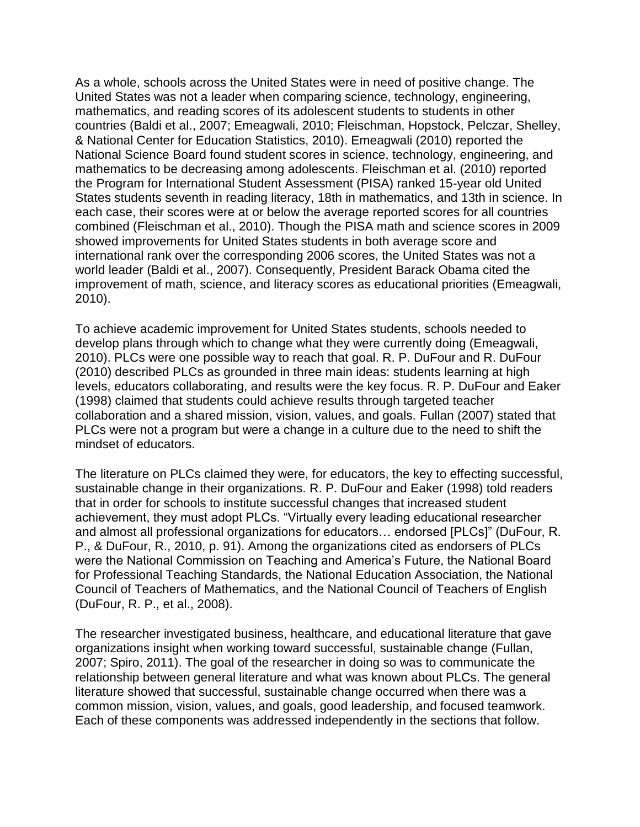As a whole, schools across the United States were in need of positive change. The United States was not a leader when comparing science, technology, engineering, mathematics, and reading scores of its adolescent students to students in other countries (Baldi et al., 2007; Emeagwali, 2010; Fleischman, Hopstock, Pelczar, Shelley, & National Center for Education Statistics, 2010). Emeagwali (2010) reported the National Science Board found student scores in science, technology, engineering, and mathematics to be decreasing among adolescents. Fleischman et al. (2010) reported the Program for International Student Assessment (PISA) ranked 15-year old United States students seventh in reading literacy, 18th in mathematics, and 13th in science. In each case, their scores were at or below the average reported scores for all countries combined (Fleischman et al., 2010). Though the PISA math and science scores in 2009 showed improvements for United States students in both average score and international rank over the corresponding 2006 scores, the United States was not a world leader (Baldi et al., 2007). Consequently, President Barack Obama cited the improvement of math, science, and literacy scores as educational priorities (Emeagwali, 2010).

To achieve academic improvement for United States students, schools needed to develop plans through which to change what they were currently doing (Emeagwali, 2010). PLCs were one possible way to reach that goal. R. P. DuFour and R. DuFour (2010) described PLCs as grounded in three main ideas: students learning at high levels, educators collaborating, and results were the key focus. R. P. DuFour and Eaker (1998) claimed that students could achieve results through targeted teacher collaboration and a shared mission, vision, values, and goals. Fullan (2007) stated that PLCs were not a program but were a change in a culture due to the need to shift the mindset of educators.

The literature on PLCs claimed they were, for educators, the key to effecting successful, sustainable change in their organizations. R. P. DuFour and Eaker (1998) told readers that in order for schools to institute successful changes that increased student achievement, they must adopt PLCs. "Virtually every leading educational researcher and almost all professional organizations for educators… endorsed [PLCs]" (DuFour, R. P., & DuFour, R., 2010, p. 91). Among the organizations cited as endorsers of PLCs were the National Commission on Teaching and America's Future, the National Board for Professional Teaching Standards, the National Education Association, the National Council of Teachers of Mathematics, and the National Council of Teachers of English (DuFour, R. P., et al., 2008).

The researcher investigated business, healthcare, and educational literature that gave organizations insight when working toward successful, sustainable change (Fullan, 2007; Spiro, 2011). The goal of the researcher in doing so was to communicate the relationship between general literature and what was known about PLCs. The general literature showed that successful, sustainable change occurred when there was a common mission, vision, values, and goals, good leadership, and focused teamwork. Each of these components was addressed independently in the sections that follow.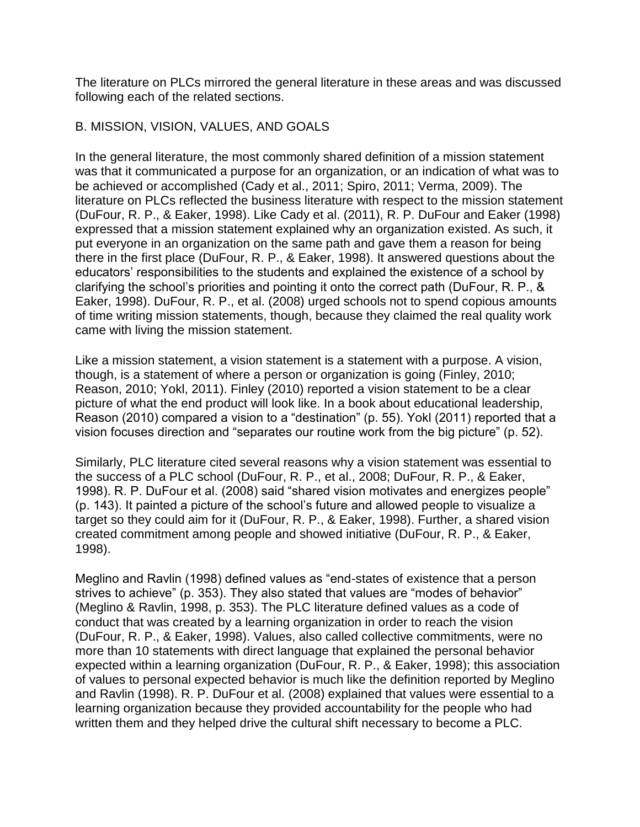The literature on PLCs mirrored the general literature in these areas and was discussed following each of the related sections.

#### B. MISSION, VISION, VALUES, AND GOALS

In the general literature, the most commonly shared definition of a mission statement was that it communicated a purpose for an organization, or an indication of what was to be achieved or accomplished (Cady et al., 2011; Spiro, 2011; Verma, 2009). The literature on PLCs reflected the business literature with respect to the mission statement (DuFour, R. P., & Eaker, 1998). Like Cady et al. (2011), R. P. DuFour and Eaker (1998) expressed that a mission statement explained why an organization existed. As such, it put everyone in an organization on the same path and gave them a reason for being there in the first place (DuFour, R. P., & Eaker, 1998). It answered questions about the educators' responsibilities to the students and explained the existence of a school by clarifying the school's priorities and pointing it onto the correct path (DuFour, R. P., & Eaker, 1998). DuFour, R. P., et al. (2008) urged schools not to spend copious amounts of time writing mission statements, though, because they claimed the real quality work came with living the mission statement.

Like a mission statement, a vision statement is a statement with a purpose. A vision, though, is a statement of where a person or organization is going (Finley, 2010; Reason, 2010; Yokl, 2011). Finley (2010) reported a vision statement to be a clear picture of what the end product will look like. In a book about educational leadership, Reason (2010) compared a vision to a "destination" (p. 55). Yokl (2011) reported that a vision focuses direction and "separates our routine work from the big picture" (p. 52).

Similarly, PLC literature cited several reasons why a vision statement was essential to the success of a PLC school (DuFour, R. P., et al., 2008; DuFour, R. P., & Eaker, 1998). R. P. DuFour et al. (2008) said "shared vision motivates and energizes people" (p. 143). It painted a picture of the school's future and allowed people to visualize a target so they could aim for it (DuFour, R. P., & Eaker, 1998). Further, a shared vision created commitment among people and showed initiative (DuFour, R. P., & Eaker, 1998).

Meglino and Ravlin (1998) defined values as "end-states of existence that a person strives to achieve" (p. 353). They also stated that values are "modes of behavior" (Meglino & Ravlin, 1998, p. 353). The PLC literature defined values as a code of conduct that was created by a learning organization in order to reach the vision (DuFour, R. P., & Eaker, 1998). Values, also called collective commitments, were no more than 10 statements with direct language that explained the personal behavior expected within a learning organization (DuFour, R. P., & Eaker, 1998); this association of values to personal expected behavior is much like the definition reported by Meglino and Ravlin (1998). R. P. DuFour et al. (2008) explained that values were essential to a learning organization because they provided accountability for the people who had written them and they helped drive the cultural shift necessary to become a PLC.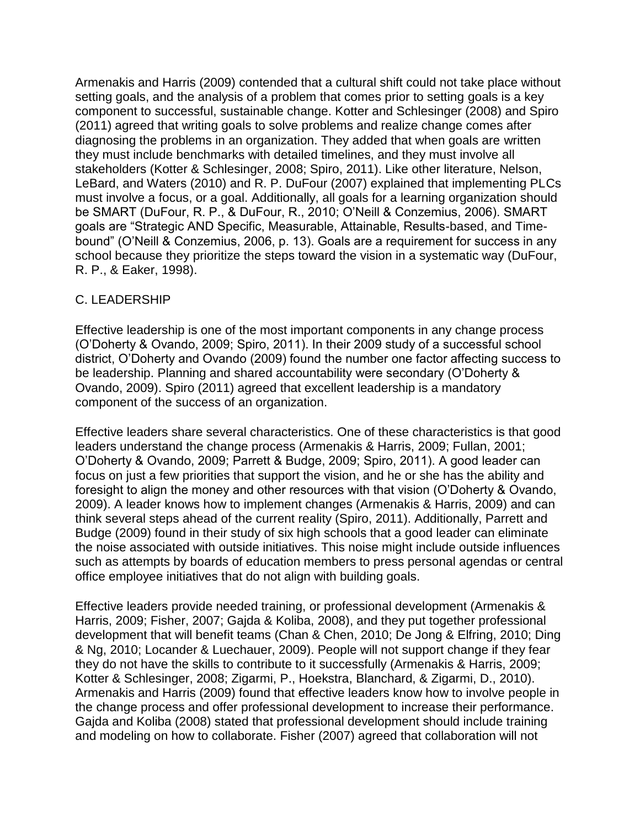Armenakis and Harris (2009) contended that a cultural shift could not take place without setting goals, and the analysis of a problem that comes prior to setting goals is a key component to successful, sustainable change. Kotter and Schlesinger (2008) and Spiro (2011) agreed that writing goals to solve problems and realize change comes after diagnosing the problems in an organization. They added that when goals are written they must include benchmarks with detailed timelines, and they must involve all stakeholders (Kotter & Schlesinger, 2008; Spiro, 2011). Like other literature, Nelson, LeBard, and Waters (2010) and R. P. DuFour (2007) explained that implementing PLCs must involve a focus, or a goal. Additionally, all goals for a learning organization should be SMART (DuFour, R. P., & DuFour, R., 2010; O'Neill & Conzemius, 2006). SMART goals are "Strategic AND Specific, Measurable, Attainable, Results-based, and Timebound" (O'Neill & Conzemius, 2006, p. 13). Goals are a requirement for success in any school because they prioritize the steps toward the vision in a systematic way (DuFour, R. P., & Eaker, 1998).

#### C. LEADERSHIP

Effective leadership is one of the most important components in any change process (O'Doherty & Ovando, 2009; Spiro, 2011). In their 2009 study of a successful school district, O'Doherty and Ovando (2009) found the number one factor affecting success to be leadership. Planning and shared accountability were secondary (O'Doherty & Ovando, 2009). Spiro (2011) agreed that excellent leadership is a mandatory component of the success of an organization.

Effective leaders share several characteristics. One of these characteristics is that good leaders understand the change process (Armenakis & Harris, 2009; Fullan, 2001; O'Doherty & Ovando, 2009; Parrett & Budge, 2009; Spiro, 2011). A good leader can focus on just a few priorities that support the vision, and he or she has the ability and foresight to align the money and other resources with that vision (O'Doherty & Ovando, 2009). A leader knows how to implement changes (Armenakis & Harris, 2009) and can think several steps ahead of the current reality (Spiro, 2011). Additionally, Parrett and Budge (2009) found in their study of six high schools that a good leader can eliminate the noise associated with outside initiatives. This noise might include outside influences such as attempts by boards of education members to press personal agendas or central office employee initiatives that do not align with building goals.

Effective leaders provide needed training, or professional development (Armenakis & Harris, 2009; Fisher, 2007; Gajda & Koliba, 2008), and they put together professional development that will benefit teams (Chan & Chen, 2010; De Jong & Elfring, 2010; Ding & Ng, 2010; Locander & Luechauer, 2009). People will not support change if they fear they do not have the skills to contribute to it successfully (Armenakis & Harris, 2009; Kotter & Schlesinger, 2008; Zigarmi, P., Hoekstra, Blanchard, & Zigarmi, D., 2010). Armenakis and Harris (2009) found that effective leaders know how to involve people in the change process and offer professional development to increase their performance. Gajda and Koliba (2008) stated that professional development should include training and modeling on how to collaborate. Fisher (2007) agreed that collaboration will not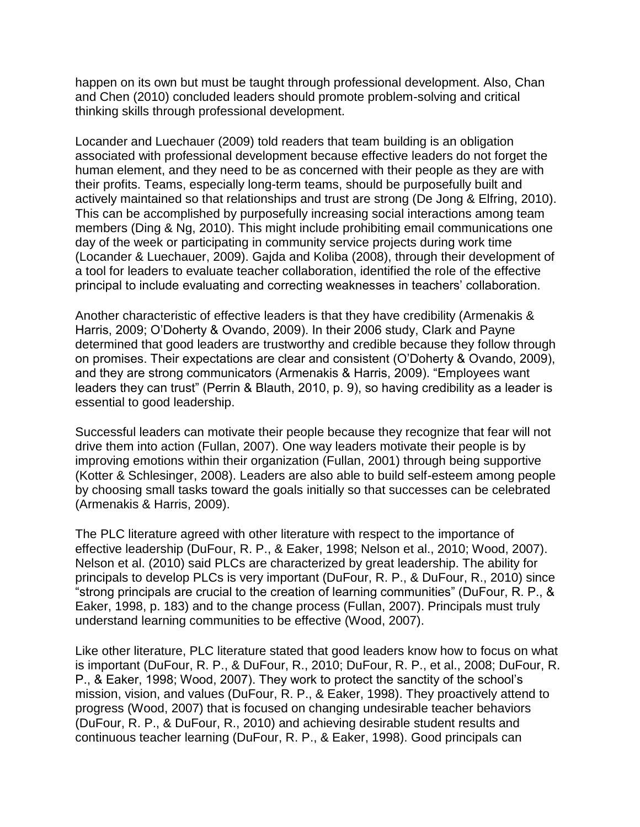happen on its own but must be taught through professional development. Also, Chan and Chen (2010) concluded leaders should promote problem-solving and critical thinking skills through professional development.

Locander and Luechauer (2009) told readers that team building is an obligation associated with professional development because effective leaders do not forget the human element, and they need to be as concerned with their people as they are with their profits. Teams, especially long-term teams, should be purposefully built and actively maintained so that relationships and trust are strong (De Jong & Elfring, 2010). This can be accomplished by purposefully increasing social interactions among team members (Ding & Ng, 2010). This might include prohibiting email communications one day of the week or participating in community service projects during work time (Locander & Luechauer, 2009). Gajda and Koliba (2008), through their development of a tool for leaders to evaluate teacher collaboration, identified the role of the effective principal to include evaluating and correcting weaknesses in teachers' collaboration.

Another characteristic of effective leaders is that they have credibility (Armenakis & Harris, 2009; O'Doherty & Ovando, 2009). In their 2006 study, Clark and Payne determined that good leaders are trustworthy and credible because they follow through on promises. Their expectations are clear and consistent (O'Doherty & Ovando, 2009), and they are strong communicators (Armenakis & Harris, 2009). "Employees want leaders they can trust" (Perrin & Blauth, 2010, p. 9), so having credibility as a leader is essential to good leadership.

Successful leaders can motivate their people because they recognize that fear will not drive them into action (Fullan, 2007). One way leaders motivate their people is by improving emotions within their organization (Fullan, 2001) through being supportive (Kotter & Schlesinger, 2008). Leaders are also able to build self-esteem among people by choosing small tasks toward the goals initially so that successes can be celebrated (Armenakis & Harris, 2009).

The PLC literature agreed with other literature with respect to the importance of effective leadership (DuFour, R. P., & Eaker, 1998; Nelson et al., 2010; Wood, 2007). Nelson et al. (2010) said PLCs are characterized by great leadership. The ability for principals to develop PLCs is very important (DuFour, R. P., & DuFour, R., 2010) since "strong principals are crucial to the creation of learning communities" (DuFour, R. P., & Eaker, 1998, p. 183) and to the change process (Fullan, 2007). Principals must truly understand learning communities to be effective (Wood, 2007).

Like other literature, PLC literature stated that good leaders know how to focus on what is important (DuFour, R. P., & DuFour, R., 2010; DuFour, R. P., et al., 2008; DuFour, R. P., & Eaker, 1998; Wood, 2007). They work to protect the sanctity of the school's mission, vision, and values (DuFour, R. P., & Eaker, 1998). They proactively attend to progress (Wood, 2007) that is focused on changing undesirable teacher behaviors (DuFour, R. P., & DuFour, R., 2010) and achieving desirable student results and continuous teacher learning (DuFour, R. P., & Eaker, 1998). Good principals can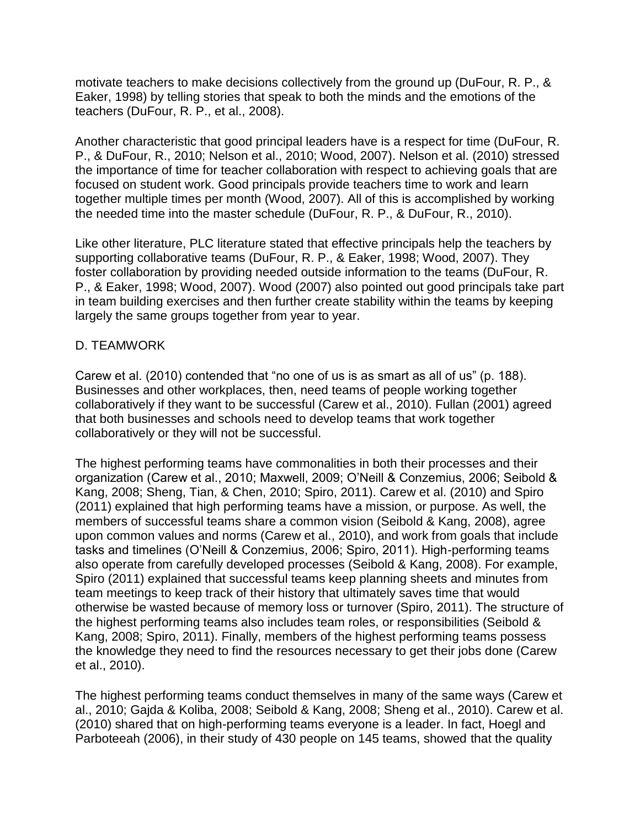motivate teachers to make decisions collectively from the ground up (DuFour, R. P., & Eaker, 1998) by telling stories that speak to both the minds and the emotions of the teachers (DuFour, R. P., et al., 2008).

Another characteristic that good principal leaders have is a respect for time (DuFour, R. P., & DuFour, R., 2010; Nelson et al., 2010; Wood, 2007). Nelson et al. (2010) stressed the importance of time for teacher collaboration with respect to achieving goals that are focused on student work. Good principals provide teachers time to work and learn together multiple times per month (Wood, 2007). All of this is accomplished by working the needed time into the master schedule (DuFour, R. P., & DuFour, R., 2010).

Like other literature, PLC literature stated that effective principals help the teachers by supporting collaborative teams (DuFour, R. P., & Eaker, 1998; Wood, 2007). They foster collaboration by providing needed outside information to the teams (DuFour, R. P., & Eaker, 1998; Wood, 2007). Wood (2007) also pointed out good principals take part in team building exercises and then further create stability within the teams by keeping largely the same groups together from year to year.

#### D. TEAMWORK

Carew et al. (2010) contended that "no one of us is as smart as all of us" (p. 188). Businesses and other workplaces, then, need teams of people working together collaboratively if they want to be successful (Carew et al., 2010). Fullan (2001) agreed that both businesses and schools need to develop teams that work together collaboratively or they will not be successful.

The highest performing teams have commonalities in both their processes and their organization (Carew et al., 2010; Maxwell, 2009; O'Neill & Conzemius, 2006; Seibold & Kang, 2008; Sheng, Tian, & Chen, 2010; Spiro, 2011). Carew et al. (2010) and Spiro (2011) explained that high performing teams have a mission, or purpose. As well, the members of successful teams share a common vision (Seibold & Kang, 2008), agree upon common values and norms (Carew et al., 2010), and work from goals that include tasks and timelines (O'Neill & Conzemius, 2006; Spiro, 2011). High-performing teams also operate from carefully developed processes (Seibold & Kang, 2008). For example, Spiro (2011) explained that successful teams keep planning sheets and minutes from team meetings to keep track of their history that ultimately saves time that would otherwise be wasted because of memory loss or turnover (Spiro, 2011). The structure of the highest performing teams also includes team roles, or responsibilities (Seibold & Kang, 2008; Spiro, 2011). Finally, members of the highest performing teams possess the knowledge they need to find the resources necessary to get their jobs done (Carew et al., 2010).

The highest performing teams conduct themselves in many of the same ways (Carew et al., 2010; Gajda & Koliba, 2008; Seibold & Kang, 2008; Sheng et al., 2010). Carew et al. (2010) shared that on high-performing teams everyone is a leader. In fact, Hoegl and Parboteeah (2006), in their study of 430 people on 145 teams, showed that the quality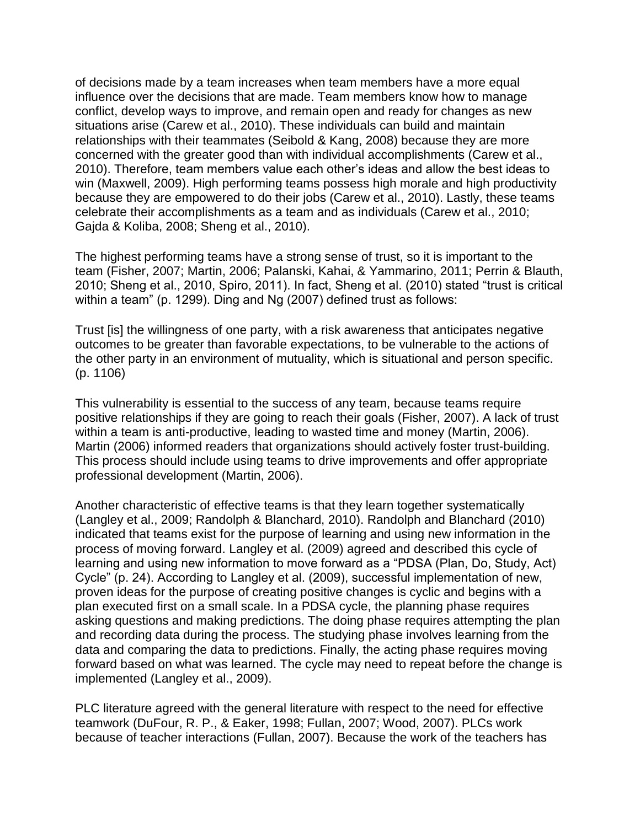of decisions made by a team increases when team members have a more equal influence over the decisions that are made. Team members know how to manage conflict, develop ways to improve, and remain open and ready for changes as new situations arise (Carew et al., 2010). These individuals can build and maintain relationships with their teammates (Seibold & Kang, 2008) because they are more concerned with the greater good than with individual accomplishments (Carew et al., 2010). Therefore, team members value each other's ideas and allow the best ideas to win (Maxwell, 2009). High performing teams possess high morale and high productivity because they are empowered to do their jobs (Carew et al., 2010). Lastly, these teams celebrate their accomplishments as a team and as individuals (Carew et al., 2010; Gajda & Koliba, 2008; Sheng et al., 2010).

The highest performing teams have a strong sense of trust, so it is important to the team (Fisher, 2007; Martin, 2006; Palanski, Kahai, & Yammarino, 2011; Perrin & Blauth, 2010; Sheng et al., 2010, Spiro, 2011). In fact, Sheng et al. (2010) stated "trust is critical within a team" (p. 1299). Ding and Ng (2007) defined trust as follows:

Trust [is] the willingness of one party, with a risk awareness that anticipates negative outcomes to be greater than favorable expectations, to be vulnerable to the actions of the other party in an environment of mutuality, which is situational and person specific. (p. 1106)

This vulnerability is essential to the success of any team, because teams require positive relationships if they are going to reach their goals (Fisher, 2007). A lack of trust within a team is anti-productive, leading to wasted time and money (Martin, 2006). Martin (2006) informed readers that organizations should actively foster trust-building. This process should include using teams to drive improvements and offer appropriate professional development (Martin, 2006).

Another characteristic of effective teams is that they learn together systematically (Langley et al., 2009; Randolph & Blanchard, 2010). Randolph and Blanchard (2010) indicated that teams exist for the purpose of learning and using new information in the process of moving forward. Langley et al. (2009) agreed and described this cycle of learning and using new information to move forward as a "PDSA (Plan, Do, Study, Act) Cycle" (p. 24). According to Langley et al. (2009), successful implementation of new, proven ideas for the purpose of creating positive changes is cyclic and begins with a plan executed first on a small scale. In a PDSA cycle, the planning phase requires asking questions and making predictions. The doing phase requires attempting the plan and recording data during the process. The studying phase involves learning from the data and comparing the data to predictions. Finally, the acting phase requires moving forward based on what was learned. The cycle may need to repeat before the change is implemented (Langley et al., 2009).

PLC literature agreed with the general literature with respect to the need for effective teamwork (DuFour, R. P., & Eaker, 1998; Fullan, 2007; Wood, 2007). PLCs work because of teacher interactions (Fullan, 2007). Because the work of the teachers has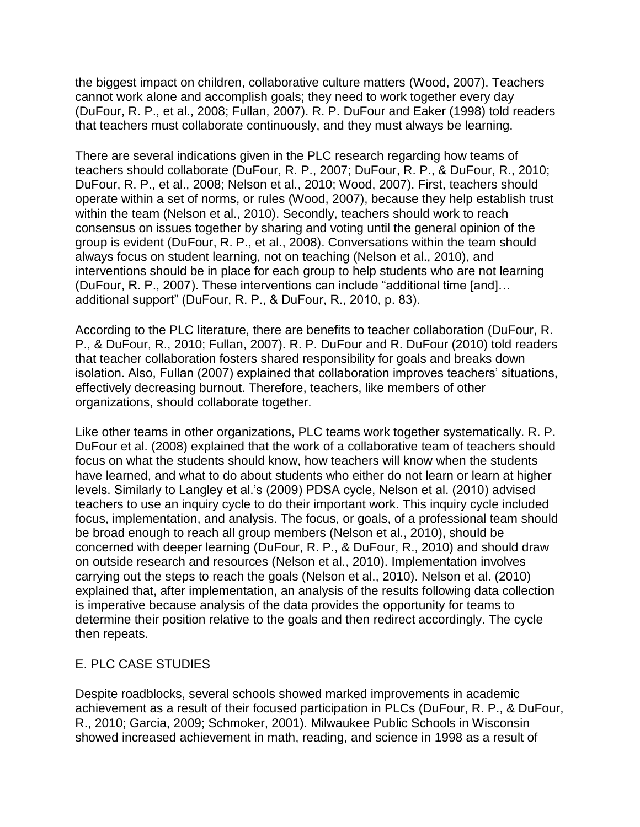the biggest impact on children, collaborative culture matters (Wood, 2007). Teachers cannot work alone and accomplish goals; they need to work together every day (DuFour, R. P., et al., 2008; Fullan, 2007). R. P. DuFour and Eaker (1998) told readers that teachers must collaborate continuously, and they must always be learning.

There are several indications given in the PLC research regarding how teams of teachers should collaborate (DuFour, R. P., 2007; DuFour, R. P., & DuFour, R., 2010; DuFour, R. P., et al., 2008; Nelson et al., 2010; Wood, 2007). First, teachers should operate within a set of norms, or rules (Wood, 2007), because they help establish trust within the team (Nelson et al., 2010). Secondly, teachers should work to reach consensus on issues together by sharing and voting until the general opinion of the group is evident (DuFour, R. P., et al., 2008). Conversations within the team should always focus on student learning, not on teaching (Nelson et al., 2010), and interventions should be in place for each group to help students who are not learning (DuFour, R. P., 2007). These interventions can include "additional time [and]… additional support" (DuFour, R. P., & DuFour, R., 2010, p. 83).

According to the PLC literature, there are benefits to teacher collaboration (DuFour, R. P., & DuFour, R., 2010; Fullan, 2007). R. P. DuFour and R. DuFour (2010) told readers that teacher collaboration fosters shared responsibility for goals and breaks down isolation. Also, Fullan (2007) explained that collaboration improves teachers' situations, effectively decreasing burnout. Therefore, teachers, like members of other organizations, should collaborate together.

Like other teams in other organizations, PLC teams work together systematically. R. P. DuFour et al. (2008) explained that the work of a collaborative team of teachers should focus on what the students should know, how teachers will know when the students have learned, and what to do about students who either do not learn or learn at higher levels. Similarly to Langley et al.'s (2009) PDSA cycle, Nelson et al. (2010) advised teachers to use an inquiry cycle to do their important work. This inquiry cycle included focus, implementation, and analysis. The focus, or goals, of a professional team should be broad enough to reach all group members (Nelson et al., 2010), should be concerned with deeper learning (DuFour, R. P., & DuFour, R., 2010) and should draw on outside research and resources (Nelson et al., 2010). Implementation involves carrying out the steps to reach the goals (Nelson et al., 2010). Nelson et al. (2010) explained that, after implementation, an analysis of the results following data collection is imperative because analysis of the data provides the opportunity for teams to determine their position relative to the goals and then redirect accordingly. The cycle then repeats.

#### E. PLC CASE STUDIES

Despite roadblocks, several schools showed marked improvements in academic achievement as a result of their focused participation in PLCs (DuFour, R. P., & DuFour, R., 2010; Garcia, 2009; Schmoker, 2001). Milwaukee Public Schools in Wisconsin showed increased achievement in math, reading, and science in 1998 as a result of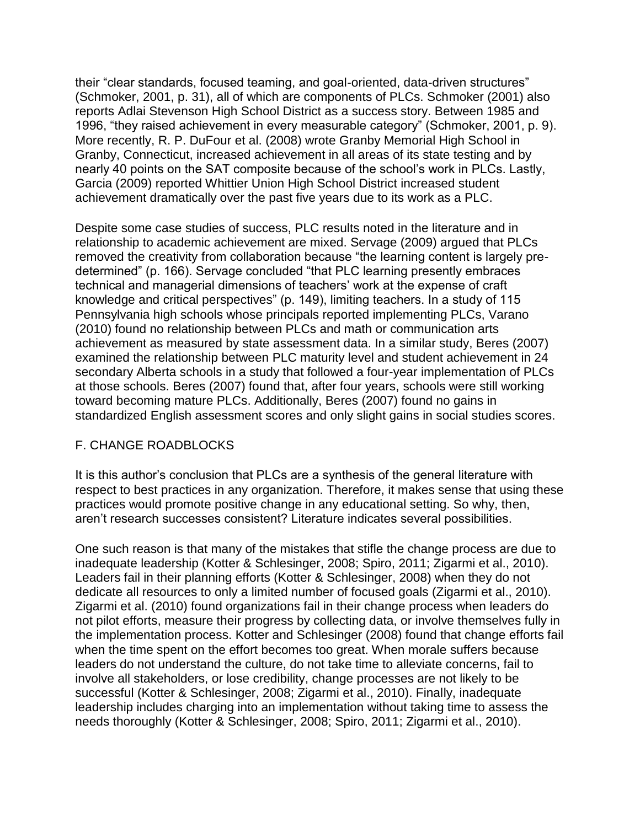their "clear standards, focused teaming, and goal-oriented, data-driven structures" (Schmoker, 2001, p. 31), all of which are components of PLCs. Schmoker (2001) also reports Adlai Stevenson High School District as a success story. Between 1985 and 1996, "they raised achievement in every measurable category" (Schmoker, 2001, p. 9). More recently, R. P. DuFour et al. (2008) wrote Granby Memorial High School in Granby, Connecticut, increased achievement in all areas of its state testing and by nearly 40 points on the SAT composite because of the school's work in PLCs. Lastly, Garcia (2009) reported Whittier Union High School District increased student achievement dramatically over the past five years due to its work as a PLC.

Despite some case studies of success, PLC results noted in the literature and in relationship to academic achievement are mixed. Servage (2009) argued that PLCs removed the creativity from collaboration because "the learning content is largely predetermined" (p. 166). Servage concluded "that PLC learning presently embraces technical and managerial dimensions of teachers' work at the expense of craft knowledge and critical perspectives" (p. 149), limiting teachers. In a study of 115 Pennsylvania high schools whose principals reported implementing PLCs, Varano (2010) found no relationship between PLCs and math or communication arts achievement as measured by state assessment data. In a similar study, Beres (2007) examined the relationship between PLC maturity level and student achievement in 24 secondary Alberta schools in a study that followed a four-year implementation of PLCs at those schools. Beres (2007) found that, after four years, schools were still working toward becoming mature PLCs. Additionally, Beres (2007) found no gains in standardized English assessment scores and only slight gains in social studies scores.

#### F. CHANGE ROADBLOCKS

It is this author's conclusion that PLCs are a synthesis of the general literature with respect to best practices in any organization. Therefore, it makes sense that using these practices would promote positive change in any educational setting. So why, then, aren't research successes consistent? Literature indicates several possibilities.

One such reason is that many of the mistakes that stifle the change process are due to inadequate leadership (Kotter & Schlesinger, 2008; Spiro, 2011; Zigarmi et al., 2010). Leaders fail in their planning efforts (Kotter & Schlesinger, 2008) when they do not dedicate all resources to only a limited number of focused goals (Zigarmi et al., 2010). Zigarmi et al. (2010) found organizations fail in their change process when leaders do not pilot efforts, measure their progress by collecting data, or involve themselves fully in the implementation process. Kotter and Schlesinger (2008) found that change efforts fail when the time spent on the effort becomes too great. When morale suffers because leaders do not understand the culture, do not take time to alleviate concerns, fail to involve all stakeholders, or lose credibility, change processes are not likely to be successful (Kotter & Schlesinger, 2008; Zigarmi et al., 2010). Finally, inadequate leadership includes charging into an implementation without taking time to assess the needs thoroughly (Kotter & Schlesinger, 2008; Spiro, 2011; Zigarmi et al., 2010).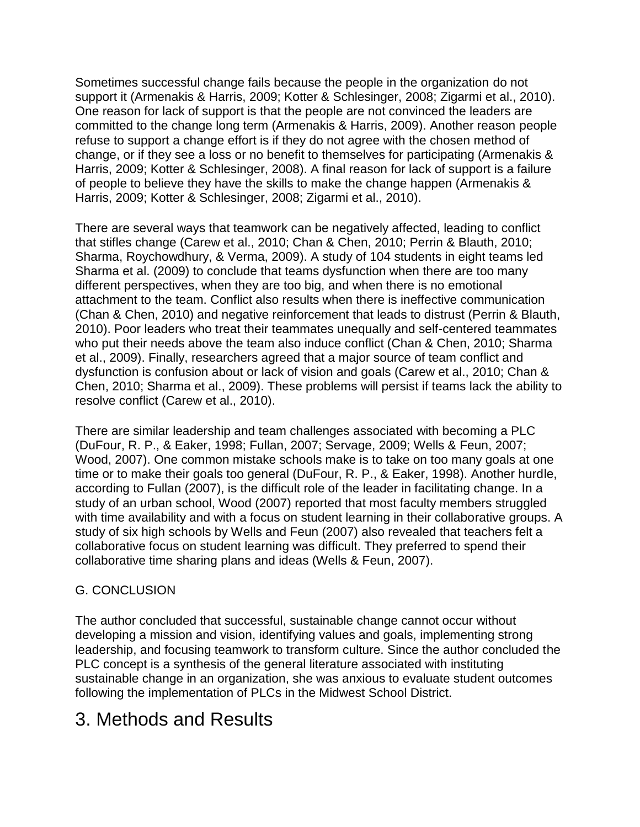Sometimes successful change fails because the people in the organization do not support it (Armenakis & Harris, 2009; Kotter & Schlesinger, 2008; Zigarmi et al., 2010). One reason for lack of support is that the people are not convinced the leaders are committed to the change long term (Armenakis & Harris, 2009). Another reason people refuse to support a change effort is if they do not agree with the chosen method of change, or if they see a loss or no benefit to themselves for participating (Armenakis & Harris, 2009; Kotter & Schlesinger, 2008). A final reason for lack of support is a failure of people to believe they have the skills to make the change happen (Armenakis & Harris, 2009; Kotter & Schlesinger, 2008; Zigarmi et al., 2010).

There are several ways that teamwork can be negatively affected, leading to conflict that stifles change (Carew et al., 2010; Chan & Chen, 2010; Perrin & Blauth, 2010; Sharma, Roychowdhury, & Verma, 2009). A study of 104 students in eight teams led Sharma et al. (2009) to conclude that teams dysfunction when there are too many different perspectives, when they are too big, and when there is no emotional attachment to the team. Conflict also results when there is ineffective communication (Chan & Chen, 2010) and negative reinforcement that leads to distrust (Perrin & Blauth, 2010). Poor leaders who treat their teammates unequally and self-centered teammates who put their needs above the team also induce conflict (Chan & Chen, 2010; Sharma et al., 2009). Finally, researchers agreed that a major source of team conflict and dysfunction is confusion about or lack of vision and goals (Carew et al., 2010; Chan & Chen, 2010; Sharma et al., 2009). These problems will persist if teams lack the ability to resolve conflict (Carew et al., 2010).

There are similar leadership and team challenges associated with becoming a PLC (DuFour, R. P., & Eaker, 1998; Fullan, 2007; Servage, 2009; Wells & Feun, 2007; Wood, 2007). One common mistake schools make is to take on too many goals at one time or to make their goals too general (DuFour, R. P., & Eaker, 1998). Another hurdle, according to Fullan (2007), is the difficult role of the leader in facilitating change. In a study of an urban school, Wood (2007) reported that most faculty members struggled with time availability and with a focus on student learning in their collaborative groups. A study of six high schools by Wells and Feun (2007) also revealed that teachers felt a collaborative focus on student learning was difficult. They preferred to spend their collaborative time sharing plans and ideas (Wells & Feun, 2007).

### G. CONCLUSION

The author concluded that successful, sustainable change cannot occur without developing a mission and vision, identifying values and goals, implementing strong leadership, and focusing teamwork to transform culture. Since the author concluded the PLC concept is a synthesis of the general literature associated with instituting sustainable change in an organization, she was anxious to evaluate student outcomes following the implementation of PLCs in the Midwest School District.

## 3. Methods and Results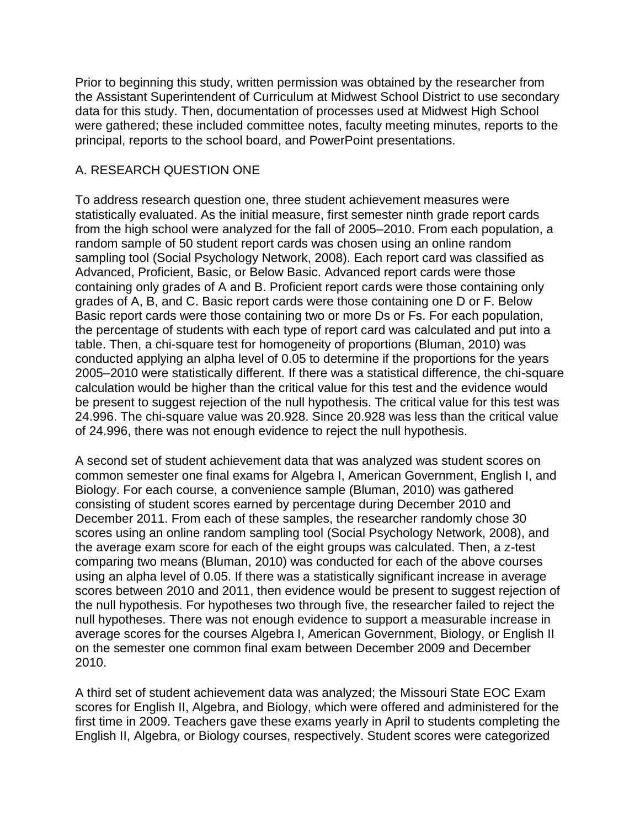Prior to beginning this study, written permission was obtained by the researcher from the Assistant Superintendent of Curriculum at Midwest School District to use secondary data for this study. Then, documentation of processes used at Midwest High School were gathered; these included committee notes, faculty meeting minutes, reports to the principal, reports to the school board, and PowerPoint presentations.

#### A. RESEARCH QUESTION ONE

To address research question one, three student achievement measures were statistically evaluated. As the initial measure, first semester ninth grade report cards from the high school were analyzed for the fall of 2005–2010. From each population, a random sample of 50 student report cards was chosen using an online random sampling tool (Social Psychology Network, 2008). Each report card was classified as Advanced, Proficient, Basic, or Below Basic. Advanced report cards were those containing only grades of A and B. Proficient report cards were those containing only grades of A, B, and C. Basic report cards were those containing one D or F. Below Basic report cards were those containing two or more Ds or Fs. For each population, the percentage of students with each type of report card was calculated and put into a table. Then, a chi-square test for homogeneity of proportions (Bluman, 2010) was conducted applying an alpha level of 0.05 to determine if the proportions for the years 2005–2010 were statistically different. If there was a statistical difference, the chi-square calculation would be higher than the critical value for this test and the evidence would be present to suggest rejection of the null hypothesis. The critical value for this test was 24.996. The chi-square value was 20.928. Since 20.928 was less than the critical value of 24.996, there was not enough evidence to reject the null hypothesis.

A second set of student achievement data that was analyzed was student scores on common semester one final exams for Algebra I, American Government, English I, and Biology. For each course, a convenience sample (Bluman, 2010) was gathered consisting of student scores earned by percentage during December 2010 and December 2011. From each of these samples, the researcher randomly chose 30 scores using an online random sampling tool (Social Psychology Network, 2008), and the average exam score for each of the eight groups was calculated. Then, a z-test comparing two means (Bluman, 2010) was conducted for each of the above courses using an alpha level of 0.05. If there was a statistically significant increase in average scores between 2010 and 2011, then evidence would be present to suggest rejection of the null hypothesis. For hypotheses two through five, the researcher failed to reject the null hypotheses. There was not enough evidence to support a measurable increase in average scores for the courses Algebra I, American Government, Biology, or English II on the semester one common final exam between December 2009 and December 2010.

A third set of student achievement data was analyzed; the Missouri State EOC Exam scores for English II, Algebra, and Biology, which were offered and administered for the first time in 2009. Teachers gave these exams yearly in April to students completing the English II, Algebra, or Biology courses, respectively. Student scores were categorized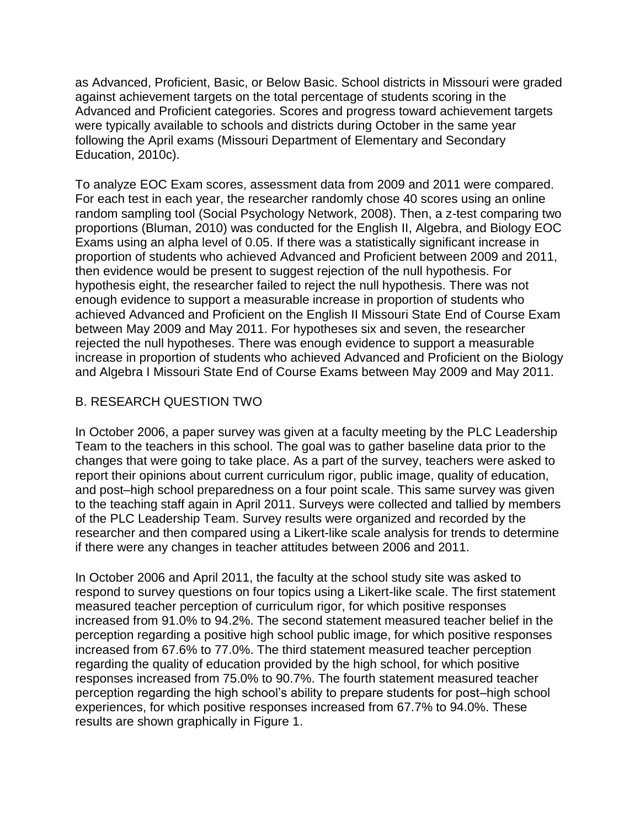as Advanced, Proficient, Basic, or Below Basic. School districts in Missouri were graded against achievement targets on the total percentage of students scoring in the Advanced and Proficient categories. Scores and progress toward achievement targets were typically available to schools and districts during October in the same year following the April exams (Missouri Department of Elementary and Secondary Education, 2010c).

To analyze EOC Exam scores, assessment data from 2009 and 2011 were compared. For each test in each year, the researcher randomly chose 40 scores using an online random sampling tool (Social Psychology Network, 2008). Then, a z-test comparing two proportions (Bluman, 2010) was conducted for the English II, Algebra, and Biology EOC Exams using an alpha level of 0.05. If there was a statistically significant increase in proportion of students who achieved Advanced and Proficient between 2009 and 2011, then evidence would be present to suggest rejection of the null hypothesis. For hypothesis eight, the researcher failed to reject the null hypothesis. There was not enough evidence to support a measurable increase in proportion of students who achieved Advanced and Proficient on the English II Missouri State End of Course Exam between May 2009 and May 2011. For hypotheses six and seven, the researcher rejected the null hypotheses. There was enough evidence to support a measurable increase in proportion of students who achieved Advanced and Proficient on the Biology and Algebra I Missouri State End of Course Exams between May 2009 and May 2011.

### B. RESEARCH QUESTION TWO

In October 2006, a paper survey was given at a faculty meeting by the PLC Leadership Team to the teachers in this school. The goal was to gather baseline data prior to the changes that were going to take place. As a part of the survey, teachers were asked to report their opinions about current curriculum rigor, public image, quality of education, and post–high school preparedness on a four point scale. This same survey was given to the teaching staff again in April 2011. Surveys were collected and tallied by members of the PLC Leadership Team. Survey results were organized and recorded by the researcher and then compared using a Likert-like scale analysis for trends to determine if there were any changes in teacher attitudes between 2006 and 2011.

In October 2006 and April 2011, the faculty at the school study site was asked to respond to survey questions on four topics using a Likert-like scale. The first statement measured teacher perception of curriculum rigor, for which positive responses increased from 91.0% to 94.2%. The second statement measured teacher belief in the perception regarding a positive high school public image, for which positive responses increased from 67.6% to 77.0%. The third statement measured teacher perception regarding the quality of education provided by the high school, for which positive responses increased from 75.0% to 90.7%. The fourth statement measured teacher perception regarding the high school's ability to prepare students for post–high school experiences, for which positive responses increased from 67.7% to 94.0%. These results are shown graphically in Figure 1.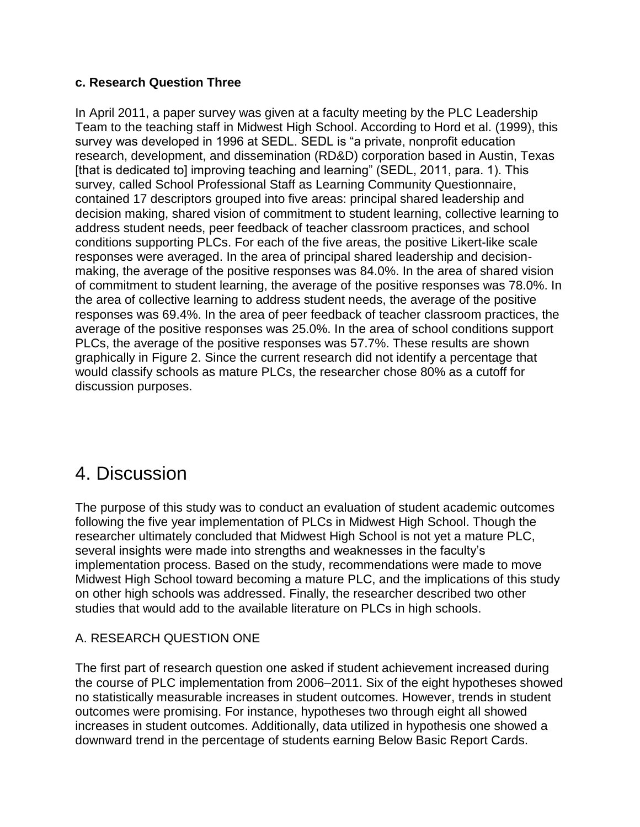#### **c. Research Question Three**

In April 2011, a paper survey was given at a faculty meeting by the PLC Leadership Team to the teaching staff in Midwest High School. According to Hord et al. (1999), this survey was developed in 1996 at SEDL. SEDL is "a private, nonprofit education research, development, and dissemination (RD&D) corporation based in Austin, Texas [that is dedicated to] improving teaching and learning" (SEDL, 2011, para. 1). This survey, called School Professional Staff as Learning Community Questionnaire, contained 17 descriptors grouped into five areas: principal shared leadership and decision making, shared vision of commitment to student learning, collective learning to address student needs, peer feedback of teacher classroom practices, and school conditions supporting PLCs. For each of the five areas, the positive Likert-like scale responses were averaged. In the area of principal shared leadership and decisionmaking, the average of the positive responses was 84.0%. In the area of shared vision of commitment to student learning, the average of the positive responses was 78.0%. In the area of collective learning to address student needs, the average of the positive responses was 69.4%. In the area of peer feedback of teacher classroom practices, the average of the positive responses was 25.0%. In the area of school conditions support PLCs, the average of the positive responses was 57.7%. These results are shown graphically in Figure 2. Since the current research did not identify a percentage that would classify schools as mature PLCs, the researcher chose 80% as a cutoff for discussion purposes.

## 4. Discussion

The purpose of this study was to conduct an evaluation of student academic outcomes following the five year implementation of PLCs in Midwest High School. Though the researcher ultimately concluded that Midwest High School is not yet a mature PLC, several insights were made into strengths and weaknesses in the faculty's implementation process. Based on the study, recommendations were made to move Midwest High School toward becoming a mature PLC, and the implications of this study on other high schools was addressed. Finally, the researcher described two other studies that would add to the available literature on PLCs in high schools.

#### A. RESEARCH QUESTION ONE

The first part of research question one asked if student achievement increased during the course of PLC implementation from 2006–2011. Six of the eight hypotheses showed no statistically measurable increases in student outcomes. However, trends in student outcomes were promising. For instance, hypotheses two through eight all showed increases in student outcomes. Additionally, data utilized in hypothesis one showed a downward trend in the percentage of students earning Below Basic Report Cards.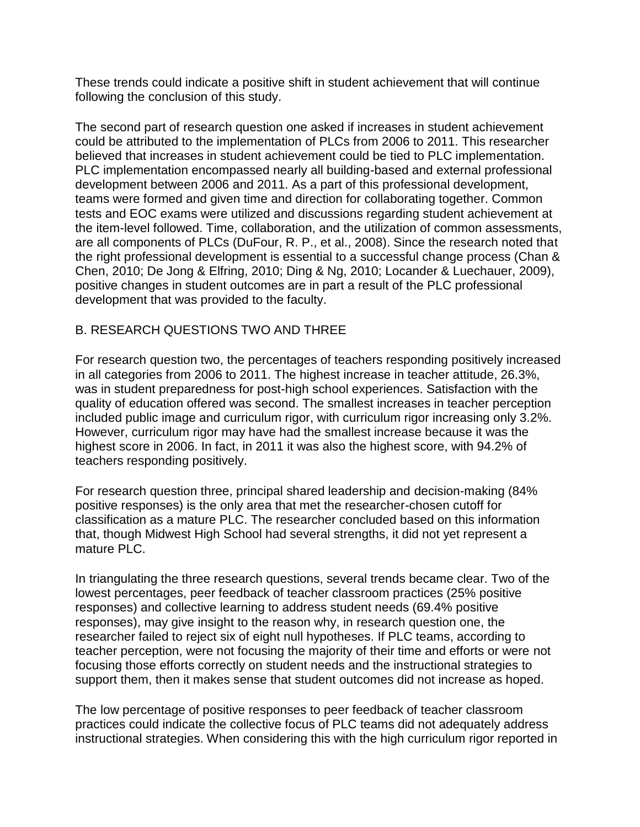These trends could indicate a positive shift in student achievement that will continue following the conclusion of this study.

The second part of research question one asked if increases in student achievement could be attributed to the implementation of PLCs from 2006 to 2011. This researcher believed that increases in student achievement could be tied to PLC implementation. PLC implementation encompassed nearly all building-based and external professional development between 2006 and 2011. As a part of this professional development, teams were formed and given time and direction for collaborating together. Common tests and EOC exams were utilized and discussions regarding student achievement at the item-level followed. Time, collaboration, and the utilization of common assessments, are all components of PLCs (DuFour, R. P., et al., 2008). Since the research noted that the right professional development is essential to a successful change process (Chan & Chen, 2010; De Jong & Elfring, 2010; Ding & Ng, 2010; Locander & Luechauer, 2009), positive changes in student outcomes are in part a result of the PLC professional development that was provided to the faculty.

#### B. RESEARCH QUESTIONS TWO AND THREE

For research question two, the percentages of teachers responding positively increased in all categories from 2006 to 2011. The highest increase in teacher attitude, 26.3%, was in student preparedness for post-high school experiences. Satisfaction with the quality of education offered was second. The smallest increases in teacher perception included public image and curriculum rigor, with curriculum rigor increasing only 3.2%. However, curriculum rigor may have had the smallest increase because it was the highest score in 2006. In fact, in 2011 it was also the highest score, with 94.2% of teachers responding positively.

For research question three, principal shared leadership and decision-making (84% positive responses) is the only area that met the researcher-chosen cutoff for classification as a mature PLC. The researcher concluded based on this information that, though Midwest High School had several strengths, it did not yet represent a mature PLC.

In triangulating the three research questions, several trends became clear. Two of the lowest percentages, peer feedback of teacher classroom practices (25% positive responses) and collective learning to address student needs (69.4% positive responses), may give insight to the reason why, in research question one, the researcher failed to reject six of eight null hypotheses. If PLC teams, according to teacher perception, were not focusing the majority of their time and efforts or were not focusing those efforts correctly on student needs and the instructional strategies to support them, then it makes sense that student outcomes did not increase as hoped.

The low percentage of positive responses to peer feedback of teacher classroom practices could indicate the collective focus of PLC teams did not adequately address instructional strategies. When considering this with the high curriculum rigor reported in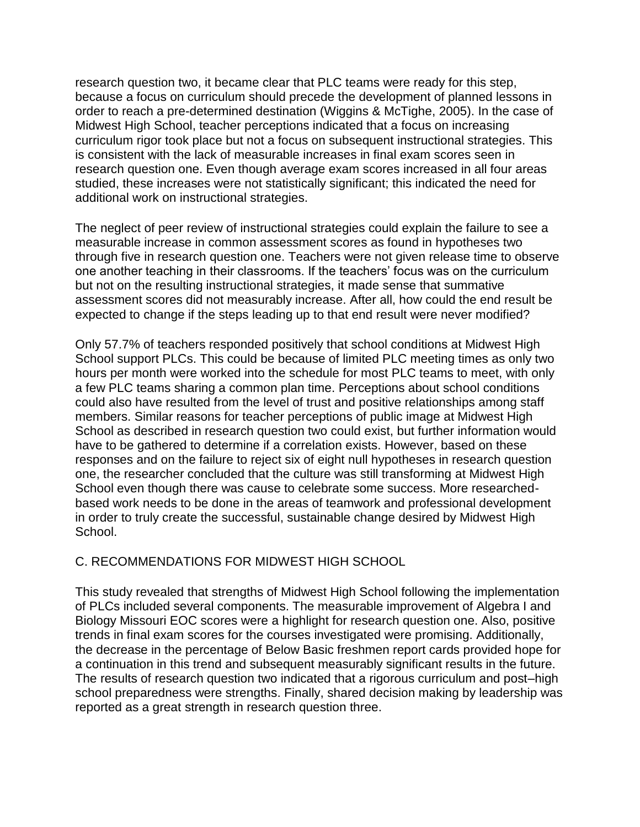research question two, it became clear that PLC teams were ready for this step, because a focus on curriculum should precede the development of planned lessons in order to reach a pre-determined destination (Wiggins & McTighe, 2005). In the case of Midwest High School, teacher perceptions indicated that a focus on increasing curriculum rigor took place but not a focus on subsequent instructional strategies. This is consistent with the lack of measurable increases in final exam scores seen in research question one. Even though average exam scores increased in all four areas studied, these increases were not statistically significant; this indicated the need for additional work on instructional strategies.

The neglect of peer review of instructional strategies could explain the failure to see a measurable increase in common assessment scores as found in hypotheses two through five in research question one. Teachers were not given release time to observe one another teaching in their classrooms. If the teachers' focus was on the curriculum but not on the resulting instructional strategies, it made sense that summative assessment scores did not measurably increase. After all, how could the end result be expected to change if the steps leading up to that end result were never modified?

Only 57.7% of teachers responded positively that school conditions at Midwest High School support PLCs. This could be because of limited PLC meeting times as only two hours per month were worked into the schedule for most PLC teams to meet, with only a few PLC teams sharing a common plan time. Perceptions about school conditions could also have resulted from the level of trust and positive relationships among staff members. Similar reasons for teacher perceptions of public image at Midwest High School as described in research question two could exist, but further information would have to be gathered to determine if a correlation exists. However, based on these responses and on the failure to reject six of eight null hypotheses in research question one, the researcher concluded that the culture was still transforming at Midwest High School even though there was cause to celebrate some success. More researchedbased work needs to be done in the areas of teamwork and professional development in order to truly create the successful, sustainable change desired by Midwest High School.

#### C. RECOMMENDATIONS FOR MIDWEST HIGH SCHOOL

This study revealed that strengths of Midwest High School following the implementation of PLCs included several components. The measurable improvement of Algebra I and Biology Missouri EOC scores were a highlight for research question one. Also, positive trends in final exam scores for the courses investigated were promising. Additionally, the decrease in the percentage of Below Basic freshmen report cards provided hope for a continuation in this trend and subsequent measurably significant results in the future. The results of research question two indicated that a rigorous curriculum and post–high school preparedness were strengths. Finally, shared decision making by leadership was reported as a great strength in research question three.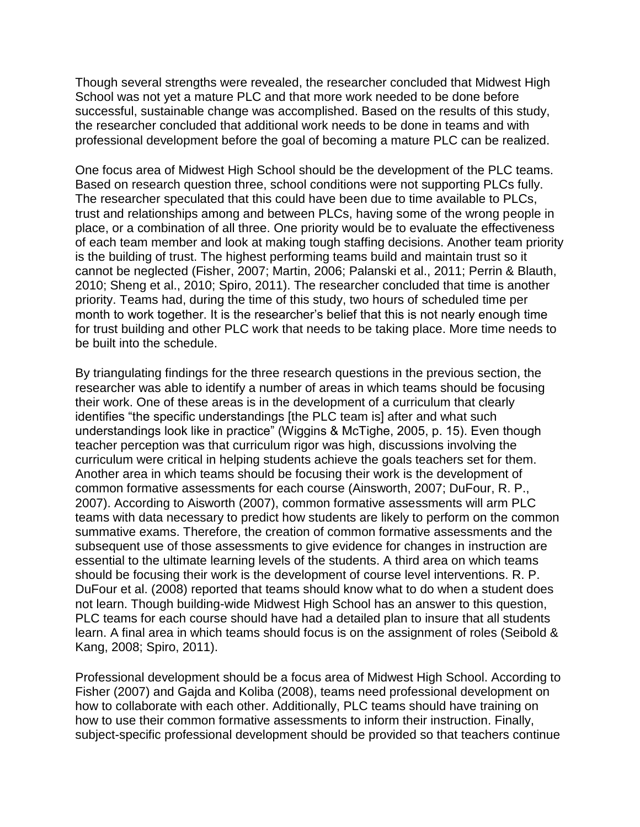Though several strengths were revealed, the researcher concluded that Midwest High School was not yet a mature PLC and that more work needed to be done before successful, sustainable change was accomplished. Based on the results of this study, the researcher concluded that additional work needs to be done in teams and with professional development before the goal of becoming a mature PLC can be realized.

One focus area of Midwest High School should be the development of the PLC teams. Based on research question three, school conditions were not supporting PLCs fully. The researcher speculated that this could have been due to time available to PLCs, trust and relationships among and between PLCs, having some of the wrong people in place, or a combination of all three. One priority would be to evaluate the effectiveness of each team member and look at making tough staffing decisions. Another team priority is the building of trust. The highest performing teams build and maintain trust so it cannot be neglected (Fisher, 2007; Martin, 2006; Palanski et al., 2011; Perrin & Blauth, 2010; Sheng et al., 2010; Spiro, 2011). The researcher concluded that time is another priority. Teams had, during the time of this study, two hours of scheduled time per month to work together. It is the researcher's belief that this is not nearly enough time for trust building and other PLC work that needs to be taking place. More time needs to be built into the schedule.

By triangulating findings for the three research questions in the previous section, the researcher was able to identify a number of areas in which teams should be focusing their work. One of these areas is in the development of a curriculum that clearly identifies "the specific understandings [the PLC team is] after and what such understandings look like in practice" (Wiggins & McTighe, 2005, p. 15). Even though teacher perception was that curriculum rigor was high, discussions involving the curriculum were critical in helping students achieve the goals teachers set for them. Another area in which teams should be focusing their work is the development of common formative assessments for each course (Ainsworth, 2007; DuFour, R. P., 2007). According to Aisworth (2007), common formative assessments will arm PLC teams with data necessary to predict how students are likely to perform on the common summative exams. Therefore, the creation of common formative assessments and the subsequent use of those assessments to give evidence for changes in instruction are essential to the ultimate learning levels of the students. A third area on which teams should be focusing their work is the development of course level interventions. R. P. DuFour et al. (2008) reported that teams should know what to do when a student does not learn. Though building-wide Midwest High School has an answer to this question, PLC teams for each course should have had a detailed plan to insure that all students learn. A final area in which teams should focus is on the assignment of roles (Seibold & Kang, 2008; Spiro, 2011).

Professional development should be a focus area of Midwest High School. According to Fisher (2007) and Gajda and Koliba (2008), teams need professional development on how to collaborate with each other. Additionally, PLC teams should have training on how to use their common formative assessments to inform their instruction. Finally, subject-specific professional development should be provided so that teachers continue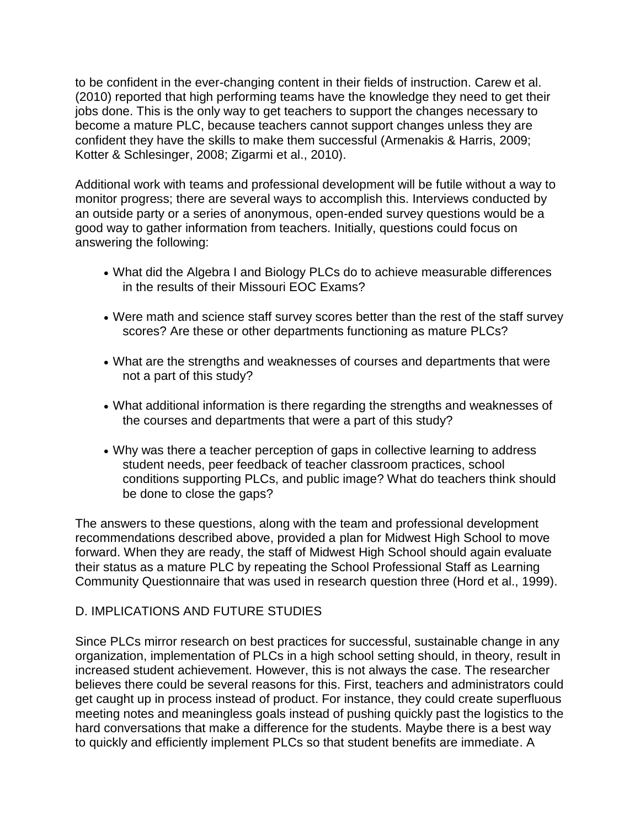to be confident in the ever-changing content in their fields of instruction. Carew et al. (2010) reported that high performing teams have the knowledge they need to get their jobs done. This is the only way to get teachers to support the changes necessary to become a mature PLC, because teachers cannot support changes unless they are confident they have the skills to make them successful (Armenakis & Harris, 2009; Kotter & Schlesinger, 2008; Zigarmi et al., 2010).

Additional work with teams and professional development will be futile without a way to monitor progress; there are several ways to accomplish this. Interviews conducted by an outside party or a series of anonymous, open-ended survey questions would be a good way to gather information from teachers. Initially, questions could focus on answering the following:

- What did the Algebra I and Biology PLCs do to achieve measurable differences in the results of their Missouri EOC Exams?
- Were math and science staff survey scores better than the rest of the staff survey scores? Are these or other departments functioning as mature PLCs?
- What are the strengths and weaknesses of courses and departments that were not a part of this study?
- What additional information is there regarding the strengths and weaknesses of the courses and departments that were a part of this study?
- Why was there a teacher perception of gaps in collective learning to address student needs, peer feedback of teacher classroom practices, school conditions supporting PLCs, and public image? What do teachers think should be done to close the gaps?

The answers to these questions, along with the team and professional development recommendations described above, provided a plan for Midwest High School to move forward. When they are ready, the staff of Midwest High School should again evaluate their status as a mature PLC by repeating the School Professional Staff as Learning Community Questionnaire that was used in research question three (Hord et al., 1999).

#### D. IMPLICATIONS AND FUTURE STUDIES

Since PLCs mirror research on best practices for successful, sustainable change in any organization, implementation of PLCs in a high school setting should, in theory, result in increased student achievement. However, this is not always the case. The researcher believes there could be several reasons for this. First, teachers and administrators could get caught up in process instead of product. For instance, they could create superfluous meeting notes and meaningless goals instead of pushing quickly past the logistics to the hard conversations that make a difference for the students. Maybe there is a best way to quickly and efficiently implement PLCs so that student benefits are immediate. A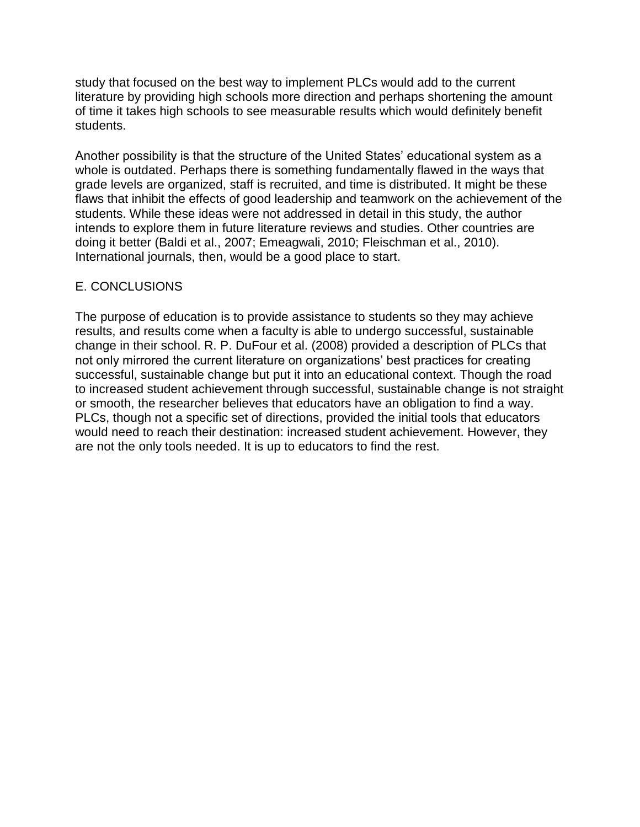study that focused on the best way to implement PLCs would add to the current literature by providing high schools more direction and perhaps shortening the amount of time it takes high schools to see measurable results which would definitely benefit students.

Another possibility is that the structure of the United States' educational system as a whole is outdated. Perhaps there is something fundamentally flawed in the ways that grade levels are organized, staff is recruited, and time is distributed. It might be these flaws that inhibit the effects of good leadership and teamwork on the achievement of the students. While these ideas were not addressed in detail in this study, the author intends to explore them in future literature reviews and studies. Other countries are doing it better (Baldi et al., 2007; Emeagwali, 2010; Fleischman et al., 2010). International journals, then, would be a good place to start.

#### E. CONCLUSIONS

The purpose of education is to provide assistance to students so they may achieve results, and results come when a faculty is able to undergo successful, sustainable change in their school. R. P. DuFour et al. (2008) provided a description of PLCs that not only mirrored the current literature on organizations' best practices for creating successful, sustainable change but put it into an educational context. Though the road to increased student achievement through successful, sustainable change is not straight or smooth, the researcher believes that educators have an obligation to find a way. PLCs, though not a specific set of directions, provided the initial tools that educators would need to reach their destination: increased student achievement. However, they are not the only tools needed. It is up to educators to find the rest.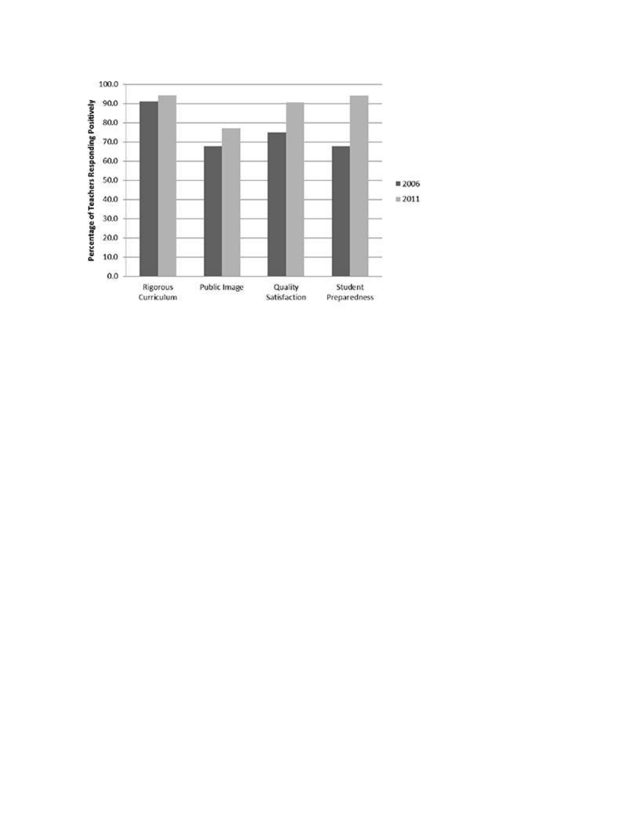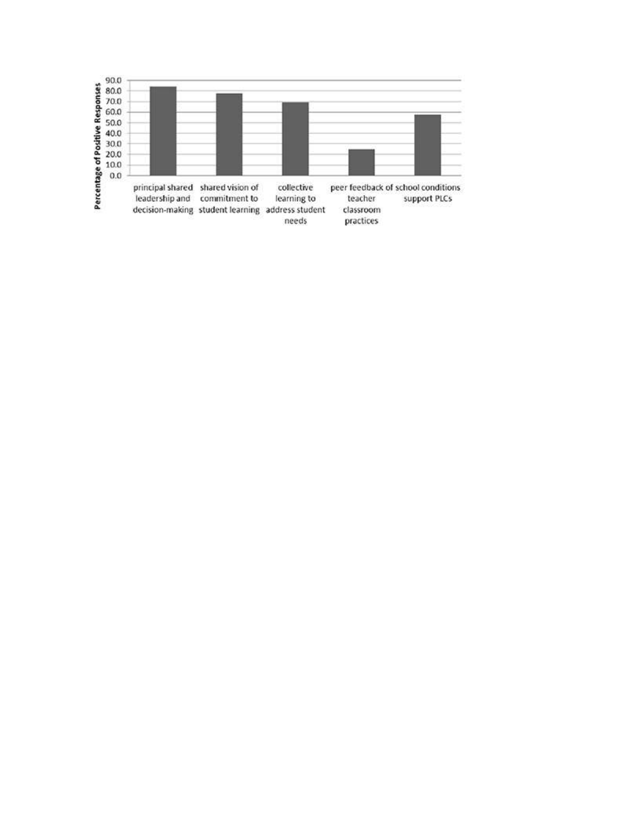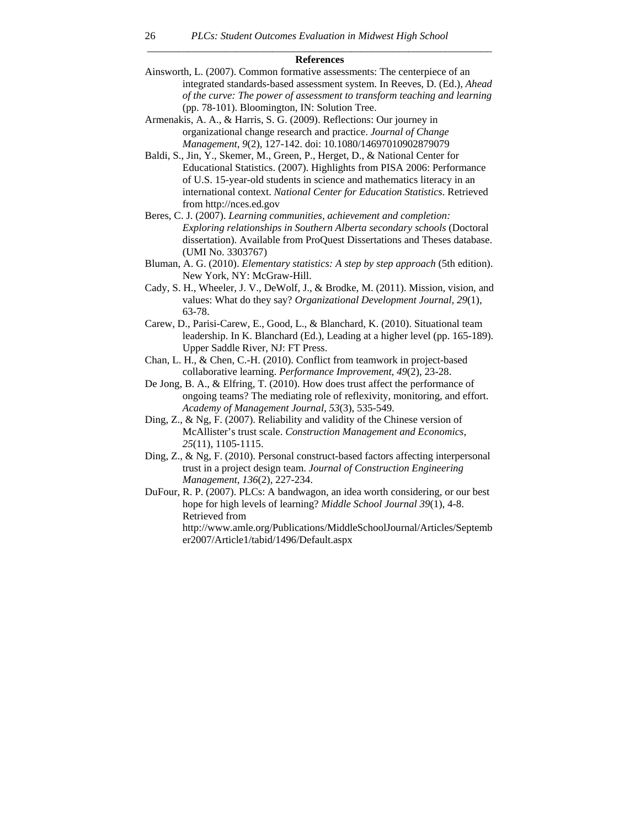#### *\_\_\_\_\_\_\_\_\_\_\_\_\_\_\_\_\_\_\_\_\_\_\_\_\_\_\_\_\_\_\_\_\_\_\_\_\_\_\_\_\_\_\_\_\_\_\_\_\_\_\_\_\_\_\_\_\_\_\_\_\_\_\_\_\_\_*  **References**

Ainsworth, L. (2007). Common formative assessments: The centerpiece of an integrated standards-based assessment system. In Reeves, D. (Ed.), *Ahead of the curve: The power of assessment to transform teaching and learning* (pp. 78-101). Bloomington, IN: Solution Tree.

Armenakis, A. A., & Harris, S. G. (2009). Reflections: Our journey in organizational change research and practice. *Journal of Change Management*, *9*(2), 127-142. doi: 10.1080/14697010902879079

Baldi, S., Jin, Y., Skemer, M., Green, P., Herget, D., & National Center for Educational Statistics. (2007). Highlights from PISA 2006: Performance of U.S. 15-year-old students in science and mathematics literacy in an international context. *National Center for Education Statistics*. Retrieved from http://nces.ed.gov

- Beres, C. J. (2007). *Learning communities, achievement and completion: Exploring relationships in Southern Alberta secondary schools* (Doctoral dissertation). Available from ProQuest Dissertations and Theses database. (UMI No. 3303767)
- Bluman, A. G. (2010). *Elementary statistics: A step by step approach* (5th edition). New York, NY: McGraw-Hill.
- Cady, S. H., Wheeler, J. V., DeWolf, J., & Brodke, M. (2011). Mission, vision, and values: What do they say? *Organizational Development Journal*, *29*(1), 63-78.
- Carew, D., Parisi-Carew, E., Good, L., & Blanchard, K. (2010). Situational team leadership. In K. Blanchard (Ed.), Leading at a higher level (pp. 165-189). Upper Saddle River, NJ: FT Press.
- Chan, L. H., & Chen, C.-H. (2010). Conflict from teamwork in project-based collaborative learning. *Performance Improvement*, *49*(2), 23-28.
- De Jong, B. A., & Elfring, T. (2010). How does trust affect the performance of ongoing teams? The mediating role of reflexivity, monitoring, and effort. *Academy of Management Journal*, *53*(3), 535-549.
- Ding, Z., & Ng, F. (2007). Reliability and validity of the Chinese version of McAllister's trust scale. *Construction Management and Economics*, *25*(11), 1105-1115.
- Ding, Z., & Ng, F. (2010). Personal construct-based factors affecting interpersonal trust in a project design team. *Journal of Construction Engineering Management*, *136*(2), 227-234.
- DuFour, R. P. (2007). PLCs: A bandwagon, an idea worth considering, or our best hope for high levels of learning? *Middle School Journal 39*(1), 4-8. Retrieved from

http://www.amle.org/Publications/MiddleSchoolJournal/Articles/Septemb er2007/Article1/tabid/1496/Default.aspx

26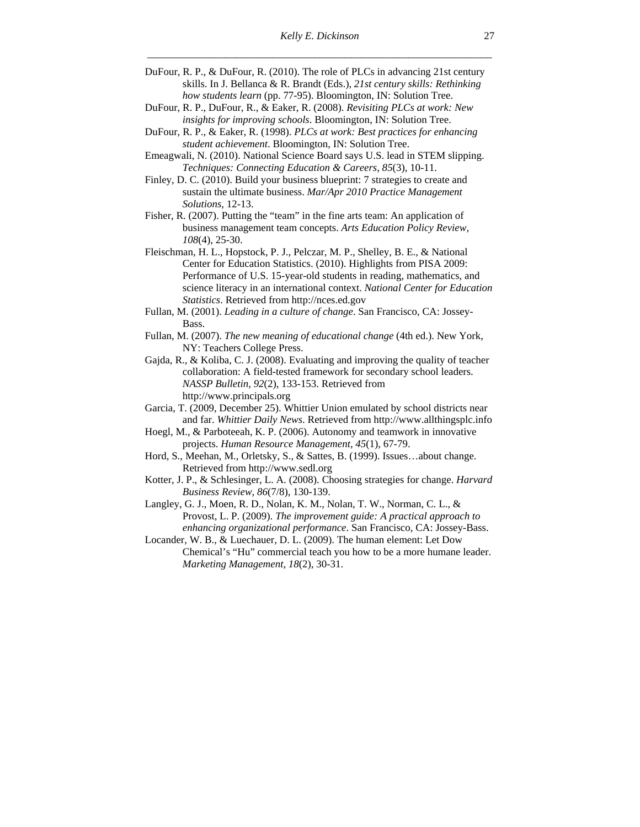- DuFour, R. P., & DuFour, R. (2010). The role of PLCs in advancing 21st century skills. In J. Bellanca & R. Brandt (Eds.), *21st century skills: Rethinking how students learn* (pp. 77-95). Bloomington, IN: Solution Tree.
- DuFour, R. P., DuFour, R., & Eaker, R. (2008). *Revisiting PLCs at work: New insights for improving schools*. Bloomington, IN: Solution Tree.
- DuFour, R. P., & Eaker, R. (1998). *PLCs at work: Best practices for enhancing student achievement*. Bloomington, IN: Solution Tree.
- Emeagwali, N. (2010). National Science Board says U.S. lead in STEM slipping. *Techniques: Connecting Education & Careers*, *85*(3), 10-11.
- Finley, D. C. (2010). Build your business blueprint: 7 strategies to create and sustain the ultimate business. *Mar/Apr 2010 Practice Management Solutions*, 12-13.
- Fisher, R. (2007). Putting the "team" in the fine arts team: An application of business management team concepts. *Arts Education Policy Review, 108*(4), 25-30.
- Fleischman, H. L., Hopstock, P. J., Pelczar, M. P., Shelley, B. E., & National Center for Education Statistics. (2010). Highlights from PISA 2009: Performance of U.S. 15-year-old students in reading, mathematics, and science literacy in an international context. *National Center for Education Statistics*. Retrieved from http://nces.ed.gov
- Fullan, M. (2001). *Leading in a culture of change*. San Francisco, CA: Jossey-Bass.
- Fullan, M. (2007). *The new meaning of educational change* (4th ed.). New York, NY: Teachers College Press.
- Gajda, R., & Koliba, C. J. (2008). Evaluating and improving the quality of teacher collaboration: A field-tested framework for secondary school leaders. *NASSP Bulletin, 92*(2), 133-153. Retrieved from http://www.principals.org
- Garcia, T. (2009, December 25). Whittier Union emulated by school districts near and far. *Whittier Daily News*. Retrieved from http://www.allthingsplc.info
- Hoegl, M., & Parboteeah, K. P. (2006). Autonomy and teamwork in innovative projects. *Human Resource Management*, *45*(1), 67-79.
- Hord, S., Meehan, M., Orletsky, S., & Sattes, B. (1999). Issues…about change. Retrieved from http://www.sedl.org
- Kotter, J. P., & Schlesinger, L. A. (2008). Choosing strategies for change. *Harvard Business Review*, *86*(7/8), 130-139.
- Langley, G. J., Moen, R. D., Nolan, K. M., Nolan, T. W., Norman, C. L., & Provost, L. P. (2009). *The improvement guide: A practical approach to enhancing organizational performance*. San Francisco, CA: Jossey-Bass.
- Locander, W. B., & Luechauer, D. L. (2009). The human element: Let Dow Chemical's "Hu" commercial teach you how to be a more humane leader. *Marketing Management*, *18*(2), 30-31.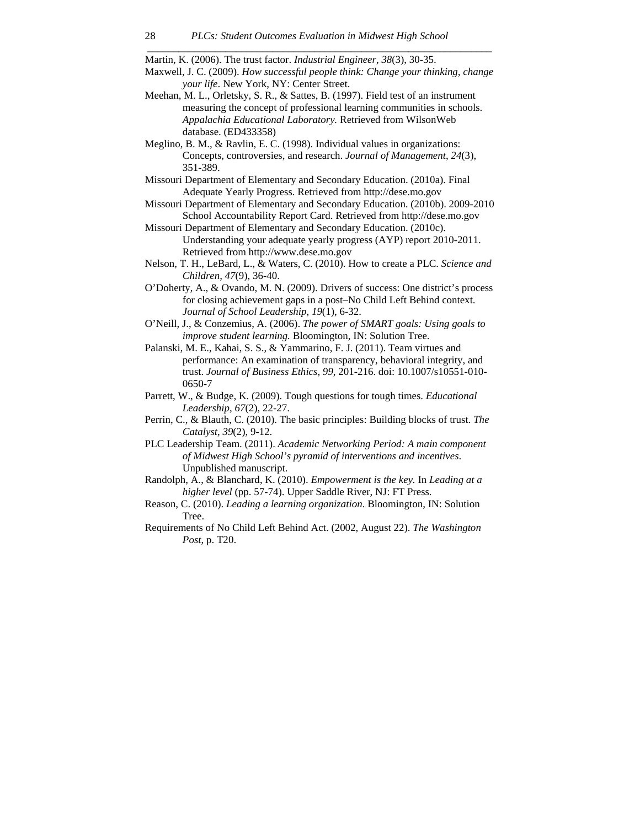Martin, K. (2006). The trust factor. *Industrial Engineer, 38*(3), 30-35.

Maxwell, J. C. (2009). *How successful people think: Change your thinking, change your life*. New York, NY: Center Street.

*\_\_\_\_\_\_\_\_\_\_\_\_\_\_\_\_\_\_\_\_\_\_\_\_\_\_\_\_\_\_\_\_\_\_\_\_\_\_\_\_\_\_\_\_\_\_\_\_\_\_\_\_\_\_\_\_\_\_\_\_\_\_\_\_\_\_* 

- Meehan, M. L., Orletsky, S. R., & Sattes, B. (1997). Field test of an instrument measuring the concept of professional learning communities in schools. *Appalachia Educational Laboratory.* Retrieved from WilsonWeb database. (ED433358)
- Meglino, B. M., & Ravlin, E. C. (1998). Individual values in organizations: Concepts, controversies, and research. *Journal of Management*, *24*(3), 351-389.
- Missouri Department of Elementary and Secondary Education. (2010a). Final Adequate Yearly Progress. Retrieved from http://dese.mo.gov
- Missouri Department of Elementary and Secondary Education. (2010b). 2009-2010 School Accountability Report Card. Retrieved from http://dese.mo.gov
- Missouri Department of Elementary and Secondary Education. (2010c). Understanding your adequate yearly progress (AYP) report 2010-2011. Retrieved from http://www.dese.mo.gov
- Nelson, T. H., LeBard, L., & Waters, C. (2010). How to create a PLC. *Science and Children, 47*(9), 36-40.
- O'Doherty, A., & Ovando, M. N. (2009). Drivers of success: One district's process for closing achievement gaps in a post–No Child Left Behind context. *Journal of School Leadership*, *19*(1), 6-32.
- O'Neill, J., & Conzemius, A. (2006). *The power of SMART goals: Using goals to improve student learning.* Bloomington, IN: Solution Tree.
- Palanski, M. E., Kahai, S. S., & Yammarino, F. J. (2011). Team virtues and performance: An examination of transparency, behavioral integrity, and trust. *Journal of Business Ethics*, *99*, 201-216. doi: 10.1007/s10551-010- 0650-7
- Parrett, W., & Budge, K. (2009). Tough questions for tough times. *Educational Leadership*, *67*(2), 22-27.
- Perrin, C., & Blauth, C. (2010). The basic principles: Building blocks of trust. *The Catalyst*, *39*(2), 9-12.
- PLC Leadership Team. (2011). *Academic Networking Period: A main component of Midwest High School's pyramid of interventions and incentives*. Unpublished manuscript.
- Randolph, A., & Blanchard, K. (2010). *Empowerment is the key.* In *Leading at a higher level* (pp. 57-74). Upper Saddle River, NJ: FT Press.
- Reason, C. (2010). *Leading a learning organization*. Bloomington, IN: Solution Tree.
- Requirements of No Child Left Behind Act. (2002, August 22). *The Washington Post*, p. T20.

28